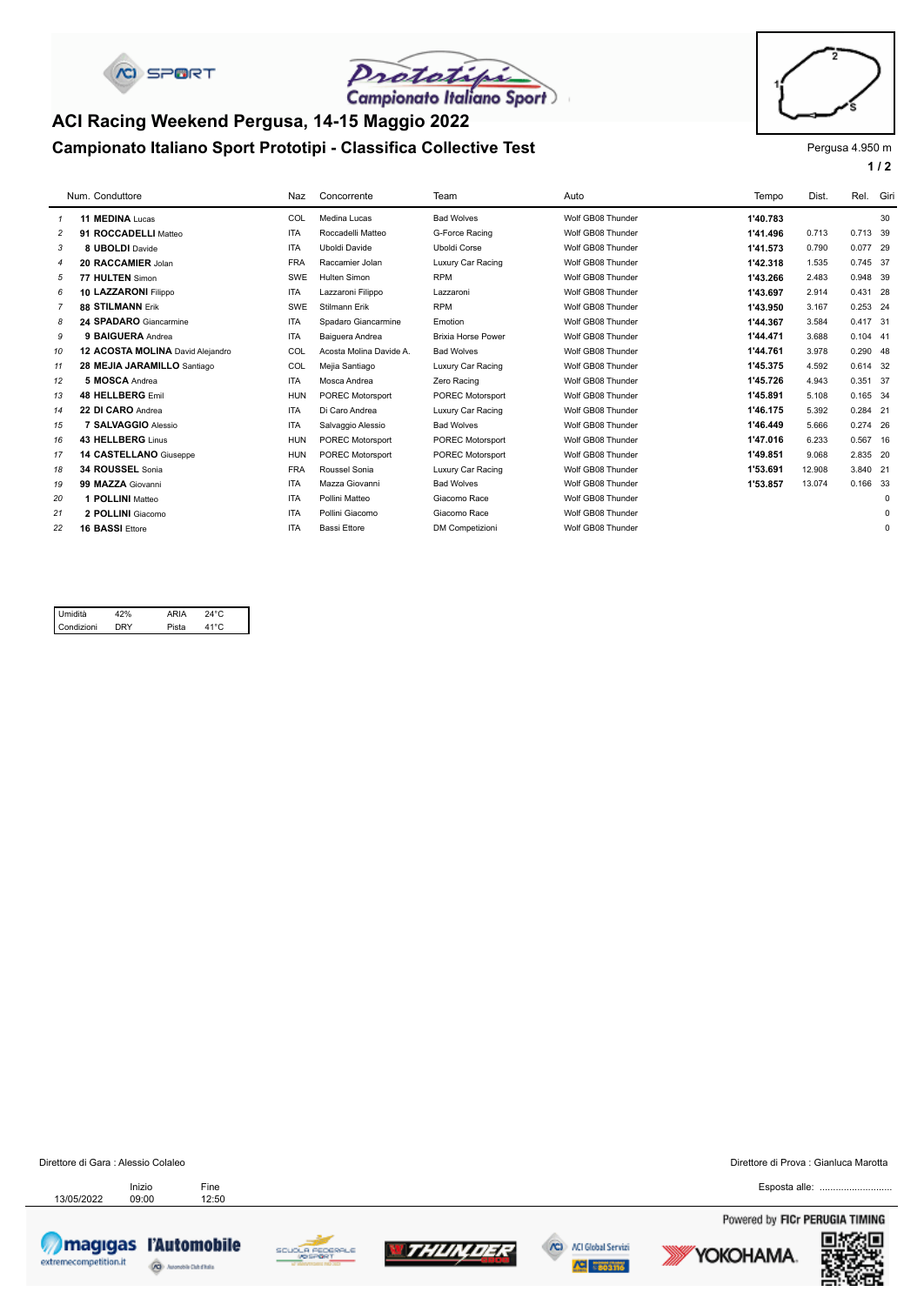



# **Campionato Italiano Sport Prototipi - Classifica Collective Test** Prototing Pergusa 4.950 m **ACI Racing Weekend Pergusa, 14-15 Maggio 2022**



# **1 / 2**

|                | Num. Conduttore                  | Naz        | Concorrente             | Team                      | Auto              | Tempo    | Dist.  | Rel.       | Giri        |
|----------------|----------------------------------|------------|-------------------------|---------------------------|-------------------|----------|--------|------------|-------------|
|                | 11 MEDINA Lucas                  | COL        | Medina Lucas            | <b>Bad Wolves</b>         | Wolf GB08 Thunder | 1'40.783 |        |            | 30          |
| $\overline{c}$ | 91 ROCCADELLI Matteo             | <b>ITA</b> | Roccadelli Matteo       | G-Force Racing            | Wolf GB08 Thunder | 1'41.496 | 0.713  | 0.713 39   |             |
| 3              | 8 UBOLDI Davide                  | <b>ITA</b> | Uboldi Davide           | <b>Uboldi Corse</b>       | Wolf GB08 Thunder | 1'41.573 | 0.790  | 0.077 29   |             |
| $\overline{4}$ | 20 RACCAMIER Jolan               | <b>FRA</b> | Raccamier Jolan         | Luxury Car Racing         | Wolf GB08 Thunder | 1'42.318 | 1.535  | 0.745 37   |             |
| 5              | 77 HULTEN Simon                  | SWE        | <b>Hulten Simon</b>     | <b>RPM</b>                | Wolf GB08 Thunder | 1'43.266 | 2.483  | 0.948 39   |             |
| 6              | 10 LAZZARONI Filippo             | <b>ITA</b> | Lazzaroni Filippo       | Lazzaroni                 | Wolf GB08 Thunder | 1'43.697 | 2.914  | 0.431 28   |             |
| $\overline{7}$ | <b>88 STILMANN Frik</b>          | SWE        | Stilmann Erik           | <b>RPM</b>                | Wolf GB08 Thunder | 1'43.950 | 3.167  | 0.253 24   |             |
| 8              | 24 SPADARO Giancarmine           | <b>ITA</b> | Spadaro Giancarmine     | Emotion                   | Wolf GB08 Thunder | 1'44.367 | 3.584  | 0.417 31   |             |
| 9              | 9 BAIGUERA Andrea                | <b>ITA</b> | Baiguera Andrea         | <b>Brixia Horse Power</b> | Wolf GB08 Thunder | 1'44.471 | 3.688  | $0.104$ 41 |             |
| 10             | 12 ACOSTA MOLINA David Aleiandro | COL        | Acosta Molina Davide A. | <b>Bad Wolves</b>         | Wolf GB08 Thunder | 1'44.761 | 3.978  | 0.290 48   |             |
| 11             | 28 MEJIA JARAMILLO Santiago      | COL        | Mejia Santiago          | Luxury Car Racing         | Wolf GB08 Thunder | 1'45.375 | 4.592  | 0.614 32   |             |
| 12             | 5 MOSCA Andrea                   | <b>ITA</b> | Mosca Andrea            | Zero Racing               | Wolf GB08 Thunder | 1'45.726 | 4.943  | 0.351 37   |             |
| 13             | 48 HELLBERG Emil                 | <b>HUN</b> | POREC Motorsport        | <b>POREC Motorsport</b>   | Wolf GB08 Thunder | 1'45.891 | 5.108  | 0.165 34   |             |
| 14             | 22 DI CARO Andrea                | <b>ITA</b> | Di Caro Andrea          | Luxury Car Racing         | Wolf GB08 Thunder | 1'46.175 | 5.392  | 0.284 21   |             |
| 15             | 7 SALVAGGIO Alessio              | <b>ITA</b> | Salvaggio Alessio       | <b>Bad Wolves</b>         | Wolf GB08 Thunder | 1'46.449 | 5.666  | 0.274 26   |             |
| 16             | 43 HELLBERG Linus                | <b>HUN</b> | POREC Motorsport        | POREC Motorsport          | Wolf GB08 Thunder | 1'47.016 | 6.233  | 0.567 16   |             |
| 17             | 14 CASTELLANO Giuseppe           | <b>HUN</b> | POREC Motorsport        | <b>POREC Motorsport</b>   | Wolf GB08 Thunder | 1'49.851 | 9.068  | 2.835 20   |             |
| 18             | 34 ROUSSEL Sonia                 | <b>FRA</b> | Roussel Sonia           | Luxury Car Racing         | Wolf GB08 Thunder | 1'53.691 | 12.908 | 3.840 21   |             |
| 19             | 99 MAZZA Giovanni                | <b>ITA</b> | Mazza Giovanni          | <b>Bad Wolves</b>         | Wolf GB08 Thunder | 1'53.857 | 13.074 | 0.166 33   |             |
| 20             | 1 POLLINI Matteo                 | <b>ITA</b> | Pollini Matteo          | Giacomo Race              | Wolf GB08 Thunder |          |        |            | $\mathbf 0$ |
| 21             | 2 POLLINI Giacomo                | <b>ITA</b> | Pollini Giacomo         | Giacomo Race              | Wolf GB08 Thunder |          |        |            | $\mathbf 0$ |
| 22             | <b>16 BASSI Ettore</b>           | <b>ITA</b> | <b>Bassi Ettore</b>     | <b>DM</b> Competizioni    | Wolf GB08 Thunder |          |        |            | $\mathbf 0$ |
|                |                                  |            |                         |                           |                   |          |        |            |             |

#### 41°C 24°C DRY Pista 42% Condizioni Umidità 42% ARIA

Direttore di Gara : Alessio Colaleo Direttore di Prova : Gianluca Marotta

13/05/2022 Inizio Fine<br>13/05/2022 09:00 12:50 Inizio











Esposta alle: ......

Powered by FICr PERUGIA TIMING



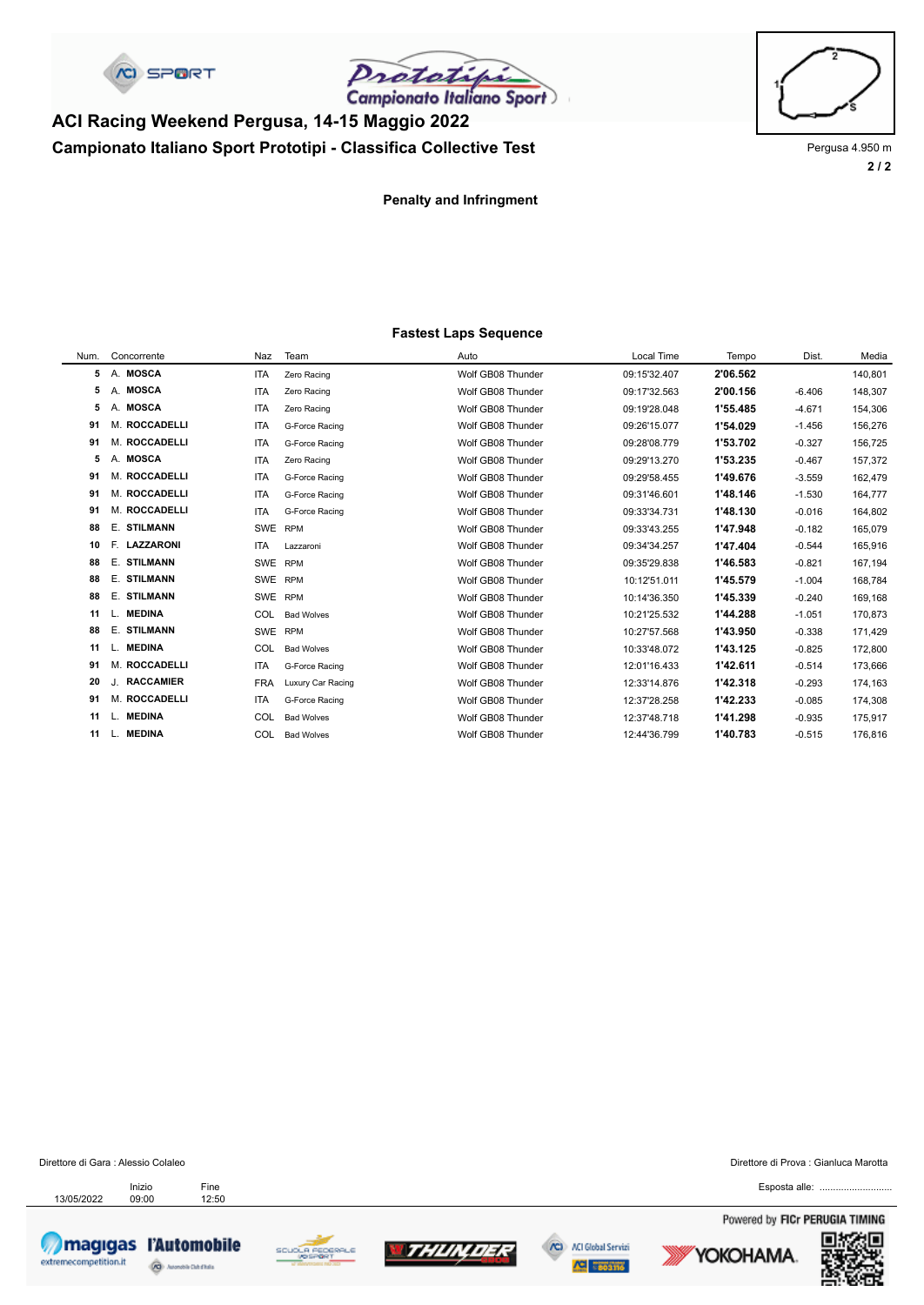C SPORT

Prototifi

# **Campionato Italiano Sport Prototipi - Classifica Collective Test** Prototing Pergusa 4.950 m **ACI Racing Weekend Pergusa, 14-15 Maggio 2022**



**2 / 2**

**Penalty and Infringment**

#### **Fastest Laps Sequence**

| Num. | Concorrente   | Naz        | Team              | Auto              | Local Time   | Tempo    | Dist.    | Media   |
|------|---------------|------------|-------------------|-------------------|--------------|----------|----------|---------|
| 5    | A. MOSCA      | <b>ITA</b> | Zero Racing       | Wolf GB08 Thunder | 09:15'32.407 | 2'06.562 |          | 140,801 |
| 5    | A. MOSCA      | <b>ITA</b> | Zero Racing       | Wolf GB08 Thunder | 09:17'32.563 | 2'00.156 | $-6.406$ | 148,307 |
| 5    | A. MOSCA      | <b>ITA</b> | Zero Racing       | Wolf GB08 Thunder | 09:19'28.048 | 1'55.485 | $-4.671$ | 154,306 |
| 91   | M. ROCCADELLI | <b>ITA</b> | G-Force Racing    | Wolf GB08 Thunder | 09:26'15.077 | 1'54.029 | $-1.456$ | 156,276 |
| 91   | M. ROCCADELLI | <b>ITA</b> | G-Force Racing    | Wolf GB08 Thunder | 09:28'08.779 | 1'53.702 | $-0.327$ | 156,725 |
| 5    | A. MOSCA      | <b>ITA</b> | Zero Racing       | Wolf GB08 Thunder | 09:29'13.270 | 1'53.235 | $-0.467$ | 157,372 |
| 91   | M. ROCCADELLI | <b>ITA</b> | G-Force Racing    | Wolf GB08 Thunder | 09:29'58.455 | 1'49.676 | $-3.559$ | 162,479 |
| 91   | M. ROCCADELLI | <b>ITA</b> | G-Force Racing    | Wolf GB08 Thunder | 09:31'46.601 | 1'48.146 | $-1.530$ | 164,777 |
| 91   | M. ROCCADELLI | <b>ITA</b> | G-Force Racing    | Wolf GB08 Thunder | 09:33'34.731 | 1'48.130 | $-0.016$ | 164,802 |
| 88   | E. STILMANN   | SWE        | <b>RPM</b>        | Wolf GB08 Thunder | 09:33'43.255 | 1'47.948 | $-0.182$ | 165,079 |
| 10   | F. LAZZARONI  | <b>ITA</b> | Lazzaroni         | Wolf GB08 Thunder | 09:34'34.257 | 1'47.404 | $-0.544$ | 165,916 |
| 88   | E. STILMANN   | SWE RPM    |                   | Wolf GB08 Thunder | 09:35'29.838 | 1'46.583 | $-0.821$ | 167,194 |
| 88   | E. STILMANN   | SWE RPM    |                   | Wolf GB08 Thunder | 10:12'51.011 | 1'45.579 | $-1.004$ | 168,784 |
| 88   | E. STILMANN   | SWE        | <b>RPM</b>        | Wolf GB08 Thunder | 10:14'36.350 | 1'45.339 | $-0.240$ | 169,168 |
| 11   | L. MEDINA     | COL        | <b>Bad Wolves</b> | Wolf GB08 Thunder | 10:21'25.532 | 1'44.288 | $-1.051$ | 170,873 |
| 88   | E. STILMANN   | SWE        | <b>RPM</b>        | Wolf GB08 Thunder | 10:27'57.568 | 1'43.950 | $-0.338$ | 171,429 |
| 11   | L. MEDINA     | COL        | <b>Bad Wolves</b> | Wolf GB08 Thunder | 10:33'48.072 | 1'43.125 | $-0.825$ | 172,800 |
| 91   | M. ROCCADELLI | <b>ITA</b> | G-Force Racing    | Wolf GB08 Thunder | 12:01'16.433 | 1'42.611 | $-0.514$ | 173,666 |
| 20   | J. RACCAMIER  | <b>FRA</b> | Luxury Car Racing | Wolf GB08 Thunder | 12:33'14.876 | 1'42.318 | $-0.293$ | 174,163 |
| 91   | M. ROCCADELLI | <b>ITA</b> | G-Force Racing    | Wolf GB08 Thunder | 12:37'28.258 | 1'42.233 | $-0.085$ | 174,308 |
| 11   | L. MEDINA     | COL        | <b>Bad Wolves</b> | Wolf GB08 Thunder | 12:37'48.718 | 1'41.298 | $-0.935$ | 175,917 |
| 11   | L. MEDINA     | COL        | <b>Bad Wolves</b> | Wolf GB08 Thunder | 12:44'36.799 | 1'40.783 | $-0.515$ | 176,816 |
|      |               |            |                   |                   |              |          |          |         |

Direttore di Gara : Alessio Colaleo Direttore di Prova : Gianluca Marotta

13/05/2022 Inizio Fine<br>13/05/2022 09:00 12:50 Inizio

magigas l'Automobile extremecompetition.it â









Esposta alle: ......

Powered by FICr PERUGIA TIMING



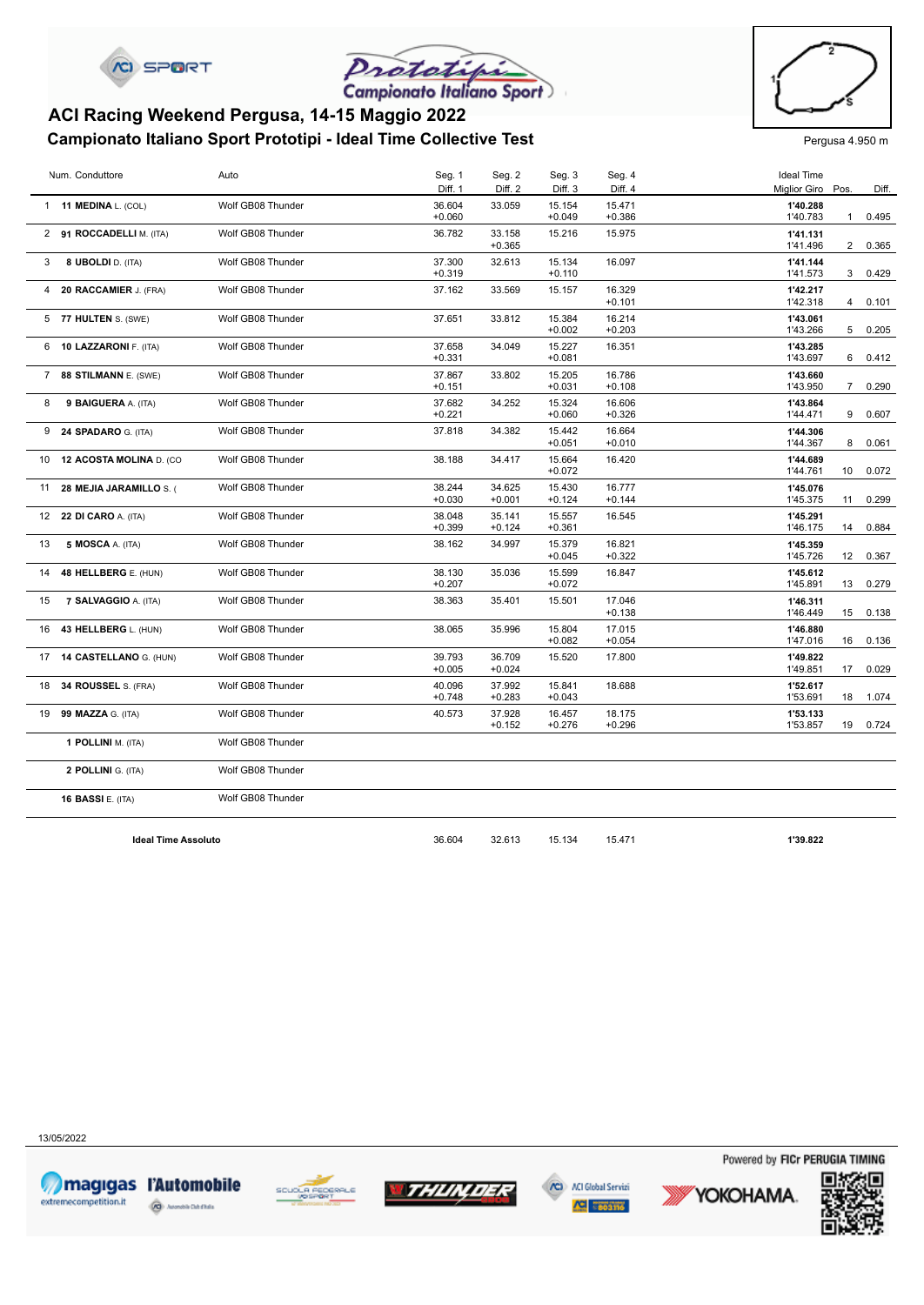



### **Campionato Italiano Sport Prototipi - Ideal Time Collective Test** Pergusa 4.950 m **ACI Racing Weekend Pergusa, 14-15 Maggio 2022**



|                | Num. Conduttore             | Auto              | Seg. 1             | Seg. 2             | Seg. 3             | Seg. 4             | <b>Ideal Time</b>    |                |       |
|----------------|-----------------------------|-------------------|--------------------|--------------------|--------------------|--------------------|----------------------|----------------|-------|
|                |                             |                   | Diff. 1            | Diff. 2            | Diff. <sub>3</sub> | Diff. 4            | Miglior Giro Pos.    |                | Diff. |
|                | 1 11 MEDINA L. (COL)        | Wolf GB08 Thunder | 36.604<br>$+0.060$ | 33.059             | 15.154<br>$+0.049$ | 15.471<br>$+0.386$ | 1'40.288<br>1'40.783 | $\mathbf{1}$   | 0.495 |
|                | 2 91 ROCCADELLI M. (ITA)    | Wolf GB08 Thunder | 36.782             | 33.158             | 15.216             | 15.975             | 1'41.131             |                |       |
|                |                             |                   |                    | $+0.365$           |                    |                    | 1'41.496             | $\overline{2}$ | 0.365 |
| 3              | 8 UBOLDI D. (ITA)           | Wolf GB08 Thunder | 37.300             | 32.613             | 15.134             | 16.097             | 1'41.144             |                |       |
|                |                             |                   | $+0.319$           |                    | $+0.110$           |                    | 1'41.573             | 3              | 0.429 |
| $\overline{4}$ | 20 RACCAMIER J. (FRA)       | Wolf GB08 Thunder | 37.162             | 33.569             | 15.157             | 16.329<br>$+0.101$ | 1'42.217<br>1'42.318 | 4              | 0.101 |
|                | 5 77 HULTEN S. (SWE)        | Wolf GB08 Thunder | 37.651             | 33.812             | 15.384             | 16.214             | 1'43.061             |                |       |
|                |                             |                   |                    |                    | $+0.002$           | $+0.203$           | 1'43.266             | 5              | 0.205 |
|                | 6 10 LAZZARONI F. (ITA)     | Wolf GB08 Thunder | 37.658             | 34.049             | 15.227             | 16.351             | 1'43.285             |                |       |
|                |                             |                   | $+0.331$           |                    | $+0.081$           |                    | 1'43.697             | 6              | 0.412 |
|                | 7 88 STILMANN E. (SWE)      | Wolf GB08 Thunder | 37.867             | 33.802             | 15.205             | 16.786             | 1'43.660             |                |       |
|                |                             |                   | $+0.151$           |                    | $+0.031$           | $+0.108$           | 1'43.950             | $\overline{7}$ | 0.290 |
| 8              | 9 BAIGUERA A. (ITA)         | Wolf GB08 Thunder | 37.682<br>$+0.221$ | 34.252             | 15.324<br>$+0.060$ | 16.606<br>$+0.326$ | 1'43.864<br>1'44.471 | 9              | 0.607 |
|                | 9 24 SPADARO G. (ITA)       | Wolf GB08 Thunder | 37.818             | 34.382             | 15.442             | 16.664             | 1'44.306             |                |       |
|                |                             |                   |                    |                    | $+0.051$           | $+0.010$           | 1'44.367             | 8              | 0.061 |
|                | 10 12 ACOSTA MOLINA D. (CO  | Wolf GB08 Thunder | 38.188             | 34.417             | 15.664             | 16.420             | 1'44.689             |                |       |
|                |                             |                   |                    |                    | $+0.072$           |                    | 1'44.761             | 10             | 0.072 |
|                | 11 28 MEJIA JARAMILLO S. (  | Wolf GB08 Thunder | 38.244             | 34.625             | 15.430             | 16.777             | 1'45.076             |                |       |
|                |                             |                   | $+0.030$           | $+0.001$           | $+0.124$           | $+0.144$           | 1'45.375             | 11             | 0.299 |
|                | 12 22 DI CARO A. (ITA)      | Wolf GB08 Thunder | 38.048<br>$+0.399$ | 35.141<br>$+0.124$ | 15.557<br>$+0.361$ | 16.545             | 1'45.291<br>1'46.175 | 14             | 0.884 |
| 13             | 5 MOSCA A. (ITA)            | Wolf GB08 Thunder | 38.162             | 34.997             | 15.379             | 16.821             | 1'45.359             |                |       |
|                |                             |                   |                    |                    | $+0.045$           | $+0.322$           | 1'45.726             | 12             | 0.367 |
| 14             | 48 HELLBERG E. (HUN)        | Wolf GB08 Thunder | 38.130             | 35.036             | 15.599             | 16.847             | 1'45.612             |                |       |
|                |                             |                   | $+0.207$           |                    | $+0.072$           |                    | 1'45.891             | 13             | 0.279 |
| 15             | <b>7 SALVAGGIO A. (ITA)</b> | Wolf GB08 Thunder | 38.363             | 35.401             | 15.501             | 17.046             | 1'46.311             |                |       |
|                |                             |                   |                    |                    |                    | $+0.138$           | 1'46.449             | 15             | 0.138 |
|                | 16 43 HELLBERG L. (HUN)     | Wolf GB08 Thunder | 38.065             | 35.996             | 15.804<br>$+0.082$ | 17.015<br>$+0.054$ | 1'46.880<br>1'47.016 | 16             | 0.136 |
|                | 17 14 CASTELLANO G. (HUN)   | Wolf GB08 Thunder | 39.793             | 36.709             | 15.520             | 17.800             | 1'49.822             |                |       |
|                |                             |                   | $+0.005$           | $+0.024$           |                    |                    | 1'49.851             | 17             | 0.029 |
|                | 18 34 ROUSSEL S. (FRA)      | Wolf GB08 Thunder | 40.096             | 37.992             | 15.841             | 18.688             | 1'52.617             |                |       |
|                |                             |                   | $+0.748$           | $+0.283$           | $+0.043$           |                    | 1'53.691             | 18             | 1.074 |
|                | 19 99 MAZZA G. (ITA)        | Wolf GB08 Thunder | 40.573             | 37.928             | 16.457             | 18.175             | 1'53.133             |                |       |
|                |                             |                   |                    | $+0.152$           | $+0.276$           | $+0.296$           | 1'53.857             | 19             | 0.724 |
|                | 1 POLLINI M. (ITA)          | Wolf GB08 Thunder |                    |                    |                    |                    |                      |                |       |
|                | 2 POLLINI G. (ITA)          | Wolf GB08 Thunder |                    |                    |                    |                    |                      |                |       |
|                | <b>16 BASSI E. (ITA)</b>    | Wolf GB08 Thunder |                    |                    |                    |                    |                      |                |       |
|                |                             |                   |                    |                    |                    |                    |                      |                |       |
|                | <b>Ideal Time Assoluto</b>  |                   | 36.604             | 32.613             | 15.134             | 15.471             | 1'39.822             |                |       |

13/05/2022









Powered by FICr PERUGIA TIMING

YOKOHAMA.

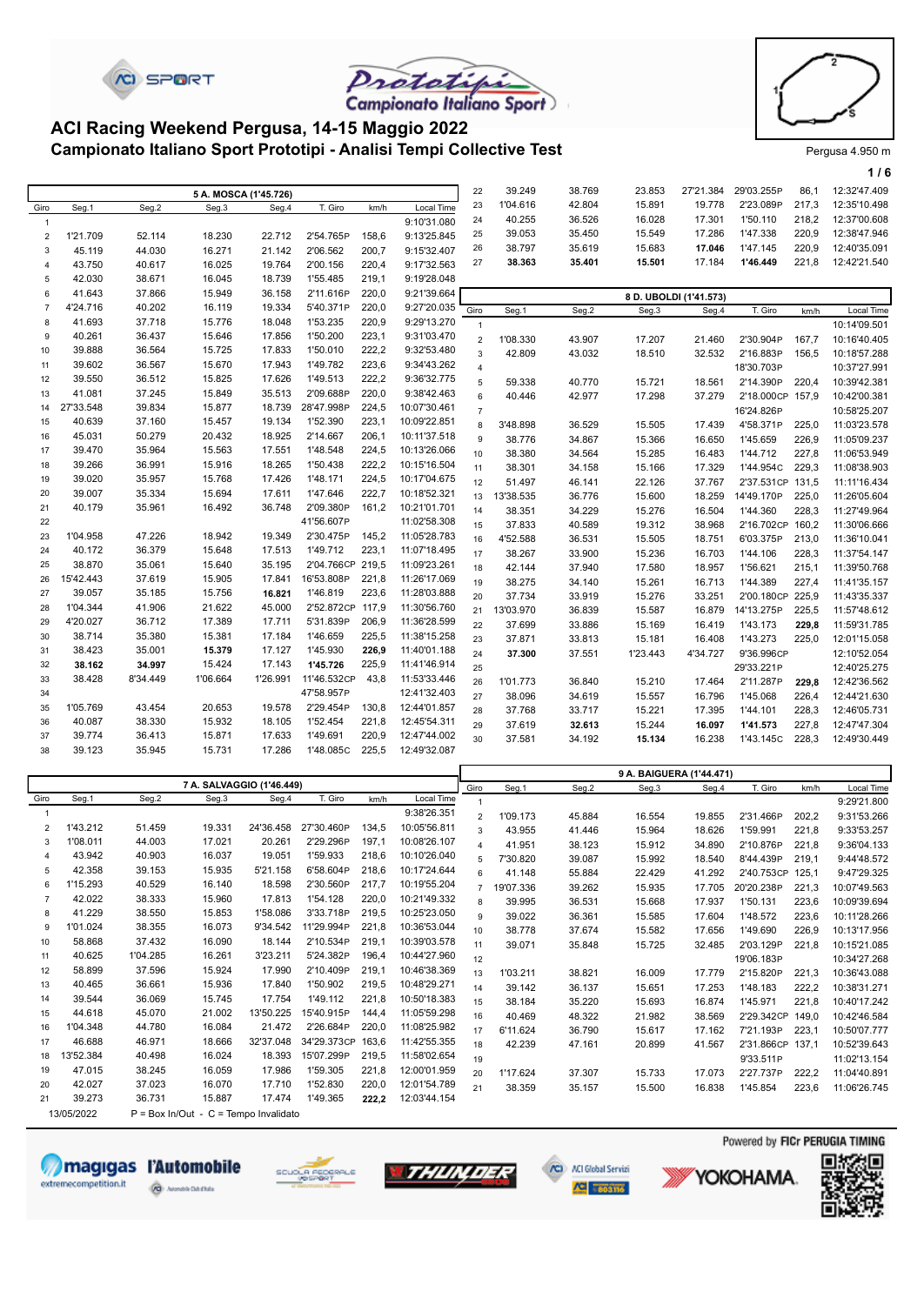





П

#### **Campionato Italiano Sport Prototipi - Analisi Tempi Collective Test** Prototing Pergusa 4.950 m **ACI Racing Weekend Pergusa, 14-15 Maggio 2022**

|                |           |          |                       |          |                  |       |              |                |           |        |                          |                        |                  |       | 1/6          |
|----------------|-----------|----------|-----------------------|----------|------------------|-------|--------------|----------------|-----------|--------|--------------------------|------------------------|------------------|-------|--------------|
|                |           |          | 5 A. MOSCA (1'45.726) |          |                  |       |              | 22             | 39.249    | 38.769 | 23.853                   | 27'21.384              | 29'03.255P       | 86,1  | 12:32'47.409 |
| Giro           | Seg.1     | Seg.2    | Seg.3                 | Seg.4    | T. Giro          | km/h  | Local Time   | 23             | 1'04.616  | 42.804 | 15.891                   | 19.778                 | 2'23.089P        | 217,3 | 12:35'10.498 |
| $\mathbf{1}$   |           |          |                       |          |                  |       | 9:10'31.080  | 24             | 40.255    | 36.526 | 16.028                   | 17.301                 | 1'50.110         | 218,2 | 12:37'00.608 |
| $\overline{2}$ | 1'21.709  | 52.114   | 18.230                | 22.712   | 2'54.765P        | 158,6 | 9:13'25.845  | 25             | 39.053    | 35.450 | 15.549                   | 17.286                 | 1'47.338         | 220,9 | 12:38'47.946 |
| 3              | 45.119    | 44.030   | 16.271                | 21.142   | 2'06.562         | 200,7 | 9:15'32.407  | 26             | 38.797    | 35.619 | 15.683                   | 17.046                 | 1'47.145         | 220,9 | 12:40'35.091 |
| $\overline{4}$ | 43.750    | 40.617   | 16.025                | 19.764   | 2'00.156         | 220,4 | 9:17'32.563  | 27             | 38.363    | 35.401 | 15.501                   | 17.184                 | 1'46.449         | 221,8 | 12:42'21.540 |
| 5              | 42.030    | 38.671   | 16.045                | 18.739   | 1'55.485         | 219,1 | 9:19'28.048  |                |           |        |                          |                        |                  |       |              |
| 6              | 41.643    | 37.866   | 15.949                | 36.158   | 2'11.616P        | 220,0 | 9:21'39.664  |                |           |        |                          | 8 D. UBOLDI (1'41.573) |                  |       |              |
| $\overline{7}$ | 4'24.716  | 40.202   | 16.119                | 19.334   | 5'40.371P        | 220,0 | 9:27'20.035  | Giro           | Seg.1     | Seg.2  | Seg.3                    | Seg.4                  | T. Giro          | km/h  | Local Time   |
| 8              | 41.693    | 37.718   | 15.776                | 18.048   | 1'53.235         | 220,9 | 9:29'13.270  | $\mathbf{1}$   |           |        |                          |                        |                  |       | 10:14'09.501 |
| 9              | 40.261    | 36.437   | 15.646                | 17.856   | 1'50.200         | 223,1 | 9:31'03.470  | $\overline{2}$ | 1'08.330  | 43.907 | 17.207                   | 21.460                 | 2'30.904P        | 167,7 | 10:16'40.405 |
| 10             | 39.888    | 36.564   | 15.725                | 17.833   | 1'50.010         | 222,2 | 9:32'53.480  | $\mathbf{3}$   | 42.809    | 43.032 | 18.510                   | 32.532                 | 2'16.883P        | 156,5 | 10:18'57.288 |
| 11             | 39.602    | 36.567   | 15.670                | 17.943   | 1'49.782         | 223,6 | 9:34'43.262  | $\overline{4}$ |           |        |                          |                        | 18'30.703P       |       | 10:37'27.991 |
| 12             | 39.550    | 36.512   | 15.825                | 17.626   | 1'49.513         | 222,2 | 9:36'32.775  | $\overline{5}$ | 59.338    | 40.770 | 15.721                   | 18.561                 | 2'14.390P        | 220,4 | 10:39'42.381 |
| 13             | 41.081    | 37.245   | 15.849                | 35.513   | 2'09.688P        | 220,0 | 9:38'42.463  | $\,6\,$        | 40.446    | 42.977 | 17.298                   | 37.279                 | 2'18.000CP 157,9 |       | 10:42'00.381 |
| 14             | 27'33.548 | 39.834   | 15.877                | 18.739   | 28'47.998P       | 224,5 | 10:07'30.461 | $\overline{7}$ |           |        |                          |                        | 16'24.826P       |       | 10:58'25.207 |
| 15             | 40.639    | 37.160   | 15.457                | 19.134   | 1'52.390         | 223,1 | 10:09'22.851 | 8              | 3'48.898  | 36.529 | 15.505                   | 17.439                 | 4'58.371P        | 225,0 | 11:03'23.578 |
| 16             | 45.031    | 50.279   | 20.432                | 18.925   | 2'14.667         | 206,1 | 10:11'37.518 | $\overline{9}$ | 38.776    | 34.867 | 15.366                   | 16.650                 | 1'45.659         | 226,9 | 11:05'09.237 |
| 17             | 39.470    | 35.964   | 15.563                | 17.551   | 1'48.548         | 224,5 | 10:13'26.066 | 10             | 38.380    | 34.564 | 15.285                   | 16.483                 | 1'44.712         | 227,8 | 11:06'53.949 |
| 18             | 39.266    | 36.991   | 15.916                | 18.265   | 1'50.438         | 222,2 | 10:15'16.504 | 11             | 38.301    | 34.158 | 15.166                   | 17.329                 | 1'44.954C        | 229,3 | 11:08'38.903 |
| 19             | 39.020    | 35.957   | 15.768                | 17.426   | 1'48.171         | 224,5 | 10:17'04.675 | 12             | 51.497    | 46.141 | 22.126                   | 37.767                 | 2'37.531CP       | 131.5 | 11:11'16.434 |
| 20             | 39.007    | 35.334   | 15.694                | 17.611   | 1'47.646         | 222,7 | 10:18'52.321 | 13             | 13'38.535 | 36.776 | 15.600                   | 18.259                 | 14'49.170P       | 225,0 | 11:26'05.604 |
| 21             | 40.179    | 35.961   | 16.492                | 36.748   | 2'09.380P        | 161,2 | 10:21'01.701 | 14             | 38.351    | 34.229 | 15.276                   | 16.504                 | 1'44.360         | 228,3 | 11:27'49.964 |
| 22             |           |          |                       |          | 41'56.607P       |       | 11:02'58.308 | 15             | 37.833    | 40.589 | 19.312                   | 38.968                 | 2'16.702CP 160,2 |       | 11:30'06.666 |
| 23             | 1'04.958  | 47.226   | 18.942                | 19.349   | 2'30.475P        | 145,2 | 11:05'28.783 | 16             | 4'52.588  | 36.531 | 15.505                   | 18.751                 | 6'03.375P        | 213,0 | 11:36'10.041 |
| 24             | 40.172    | 36.379   | 15.648                | 17.513   | 1'49.712         | 223,1 | 11:07'18.495 | 17             | 38.267    | 33.900 | 15.236                   | 16.703                 | 1'44.106         | 228,3 | 11:37'54.147 |
| 25             | 38.870    | 35.061   | 15.640                | 35.195   | 2'04.766CP       | 219,5 | 11:09'23.261 | 18             | 42.144    | 37.940 | 17.580                   | 18.957                 | 1'56.621         | 215,1 | 11:39'50.768 |
| 26             | 15'42.443 | 37.619   | 15.905                | 17.841   | 16'53.808P       | 221,8 | 11:26'17.069 | 19             | 38.275    | 34.140 | 15.261                   | 16.713                 | 1'44.389         | 227,4 | 11:41'35.157 |
| 27             | 39.057    | 35.185   | 15.756                | 16.821   | 1'46.819         | 223,6 | 11:28'03.888 | 20             | 37.734    | 33.919 | 15.276                   | 33.251                 | 2'00.180CP 225.9 |       | 11:43'35.337 |
| 28             | 1'04.344  | 41.906   | 21.622                | 45.000   | 2'52.872CP 117,9 |       | 11:30'56.760 | 21             | 13'03.970 | 36.839 | 15.587                   | 16.879                 | 14'13.275P       | 225,5 | 11:57'48.612 |
| 29             | 4'20.027  | 36.712   | 17.389                | 17.711   | 5'31.839P        | 206,9 | 11:36'28.599 | 22             | 37.699    | 33.886 | 15.169                   | 16.419                 | 1'43.173         | 229,8 | 11:59'31.785 |
| 30             | 38.714    | 35.380   | 15.381                | 17.184   | 1'46.659         | 225,5 | 11:38'15.258 | 23             | 37.871    | 33.813 | 15.181                   | 16.408                 | 1'43.273         | 225,0 | 12:01'15.058 |
| 31             | 38.423    | 35.001   | 15.379                | 17.127   | 1'45.930         | 226,9 | 11:40'01.188 | 24             | 37.300    | 37.551 | 1'23.443                 | 4'34.727               | 9'36.996CP       |       | 12:10'52.054 |
| 32             | 38.162    | 34.997   | 15.424                | 17.143   | 1'45.726         | 225,9 | 11:41'46.914 | 25             |           |        |                          |                        | 29'33.221P       |       | 12:40'25.275 |
| 33             | 38.428    | 8'34.449 | 1'06.664              | 1'26.991 | 11'46.532CP      | 43,8  | 11:53'33.446 | 26             | 1'01.773  | 36.840 | 15.210                   | 17.464                 | 2'11.287P        | 229,8 | 12:42'36.562 |
| 34             |           |          |                       |          | 47'58.957P       |       | 12:41'32.403 | 27             | 38.096    | 34.619 | 15.557                   | 16.796                 | 1'45.068         | 226,4 | 12:44'21.630 |
| 35             | 1'05.769  | 43.454   | 20.653                | 19.578   | 2'29.454P        | 130,8 | 12:44'01.857 | 28             | 37.768    | 33.717 | 15.221                   | 17.395                 | 1'44.101         | 228,3 | 12:46'05.731 |
| 36             | 40.087    | 38.330   | 15.932                | 18.105   | 1'52.454         | 221,8 | 12:45'54.311 | 29             | 37.619    | 32.613 | 15.244                   | 16.097                 | 1'41.573         | 227,8 | 12:47'47.304 |
| 37             | 39.774    | 36.413   | 15.871                | 17.633   | 1'49.691         | 220,9 | 12:47'44.002 | 30             | 37.581    | 34.192 | 15.134                   | 16.238                 | 1'43.145C        | 228,3 | 12:49'30.449 |
| 38             | 39.123    | 35.945   | 15.731                | 17.286   | 1'48.085C        | 225,5 | 12:49'32.087 |                |           |        |                          |                        |                  |       |              |
|                |           |          |                       |          |                  |       |              |                |           |        | 9 A. BAIGUERA (1'44.471) |                        |                  |       |              |

|                |            |          |                                         |           |             |       |              |                |           |        |        | $5 - 1$ |            |       |              |
|----------------|------------|----------|-----------------------------------------|-----------|-------------|-------|--------------|----------------|-----------|--------|--------|---------|------------|-------|--------------|
|                |            |          | 7 A. SALVAGGIO (1'46.449)               |           |             |       |              | Giro           | Seg.1     | Seg.2  | Seg.3  | Seg.4   | T. Giro    | km/h  | Local Time   |
| Giro           | Seg.1      | Seg.2    | Seg.3                                   | Seg.4     | T. Giro     | km/h  | Local Time   |                |           |        |        |         |            |       | 9:29'21.800  |
|                |            |          |                                         |           |             |       | 9:38'26.351  | $\overline{2}$ | 1'09.173  | 45.884 | 16.554 | 19.855  | 2'31.466P  | 202,2 | 9:31'53.266  |
| $\overline{2}$ | 1'43.212   | 51.459   | 19.331                                  | 24'36.458 | 27'30.460P  | 134,5 | 10:05'56.811 | 3              | 43.955    | 41.446 | 15.964 | 18.626  | 1'59.991   | 221.8 | 9:33'53.257  |
| 3              | 1'08.011   | 44.003   | 17.021                                  | 20.261    | 2'29.296P   | 197,1 | 10:08'26.107 | 4              | 41.951    | 38.123 | 15.912 | 34.890  | 2'10.876P  | 221,8 | 9:36'04.133  |
| $\overline{4}$ | 43.942     | 40.903   | 16.037                                  | 19.051    | 1'59.933    | 218,6 | 10:10'26.040 | 5              | 7'30.820  | 39.087 | 15.992 | 18.540  | 8'44.439P  | 219,1 | 9:44'48.572  |
| 5              | 42.358     | 39.153   | 15.935                                  | 5'21.158  | 6'58.604P   | 218.6 | 10:17'24.644 | 6              | 41.148    | 55.884 | 22.429 | 41.292  | 2'40.753CP | 125,1 | 9:47'29.325  |
| 6              | 1'15.293   | 40.529   | 16.140                                  | 18.598    | 2'30.560P   | 217,7 | 10:19'55.204 | $\overline{7}$ | 19'07.336 | 39.262 | 15.935 | 17.705  | 20'20.238P | 221.3 | 10:07'49.563 |
|                | 42.022     | 38.333   | 15.960                                  | 17.813    | 1'54.128    | 220,0 | 10:21'49.332 | 8              | 39.995    | 36.531 | 15.668 | 17.937  | 1'50.131   | 223,6 | 10:09'39.694 |
| 8              | 41.229     | 38.550   | 15.853                                  | 1'58.086  | 3'33.718P   | 219,5 | 10:25'23.050 | 9              | 39.022    | 36.361 | 15.585 | 17.604  | 1'48.572   | 223,6 | 10:11'28.266 |
| 9              | 1'01.024   | 38.355   | 16.073                                  | 9'34.542  | 11'29.994P  | 221.8 | 10:36'53.044 | 10             | 38.778    | 37.674 | 15.582 | 17.656  | 1'49.690   | 226,9 | 10:13'17.956 |
| 10             | 58.868     | 37.432   | 16.090                                  | 18.144    | 2'10.534P   | 219,1 | 10:39'03.578 | 11             | 39.071    | 35.848 | 15.725 | 32.485  | 2'03.129P  | 221.8 | 10:15'21.085 |
| 11             | 40.625     | 1'04.285 | 16.261                                  | 3'23.211  | 5'24.382P   | 196,4 | 10:44'27.960 | 12             |           |        |        |         | 19'06.183P |       | 10:34'27.268 |
| 12             | 58.899     | 37.596   | 15.924                                  | 17.990    | 2'10.409P   | 219.1 | 10:46'38.369 | 13             | 1'03.211  | 38.821 | 16.009 | 17.779  | 2'15.820P  | 221,3 | 10:36'43.088 |
| 13             | 40.465     | 36.661   | 15.936                                  | 17.840    | 1'50.902    | 219,5 | 10:48'29.271 | 14             | 39.142    | 36.137 | 15.651 | 17.253  | 1'48.183   | 222,2 | 10:38'31.271 |
| 14             | 39.544     | 36.069   | 15.745                                  | 17.754    | 1'49.112    | 221,8 | 10:50'18.383 | 15             | 38.184    | 35.220 | 15.693 | 16.874  | 1'45.971   | 221,8 | 10:40'17.242 |
| 15             | 44.618     | 45.070   | 21.002                                  | 13'50.225 | 15'40.915P  | 144,4 | 11:05'59.298 | 16             | 40.469    | 48.322 | 21.982 | 38.569  | 2'29.342CP | 149.0 | 10:42'46.584 |
| 16             | 1'04.348   | 44.780   | 16.084                                  | 21.472    | 2'26.684P   | 220.0 | 11:08'25.982 | 17             | 6'11.624  | 36.790 | 15.617 | 17.162  | 7'21.193P  | 223,1 | 10:50'07.777 |
| 17             | 46.688     | 46.971   | 18.666                                  | 32'37.048 | 34'29.373CP | 163.6 | 11:42'55.355 | 18             | 42.239    | 47.161 | 20.899 | 41.567  | 2'31.866CP | 137.1 | 10:52'39.643 |
| 18             | 3'52.384   | 40.498   | 16.024                                  | 18.393    | 15'07.299P  | 219,5 | 11:58'02.654 | 19             |           |        |        |         | 9'33.511P  |       | 11:02'13.154 |
| 19             | 47.015     | 38.245   | 16.059                                  | 17.986    | 1'59.305    | 221,8 | 12:00'01.959 | 20             | 1'17.624  | 37.307 | 15.733 | 17.073  | 2'27.737P  | 222,2 | 11:04'40.891 |
| 20             | 42.027     | 37.023   | 16.070                                  | 17.710    | 1'52.830    | 220,0 | 12:01'54.789 | 21             | 38.359    | 35.157 | 15.500 | 16.838  | 1'45.854   | 223,6 | 11:06'26.745 |
| 21             | 39.273     | 36.731   | 15.887                                  | 17.474    | 1'49.365    | 222.2 | 12:03'44.154 |                |           |        |        |         |            |       |              |
|                | 13/05/2022 |          | $P = Box In/Out - C = Tempo Invalidato$ |           |             |       |              |                |           |        |        |         |            |       |              |

Powered by FICr PERUGIA TIMING 回报 magigas l'Automobile **WTHUNDER** /CD / ACI Global Servizi SCUOLA FEOERALE YOKOHAMA. extremecompetition.it **Q** MODELING  $\frac{1}{2}$   $\frac{1}{2}$   $\frac{1}{2}$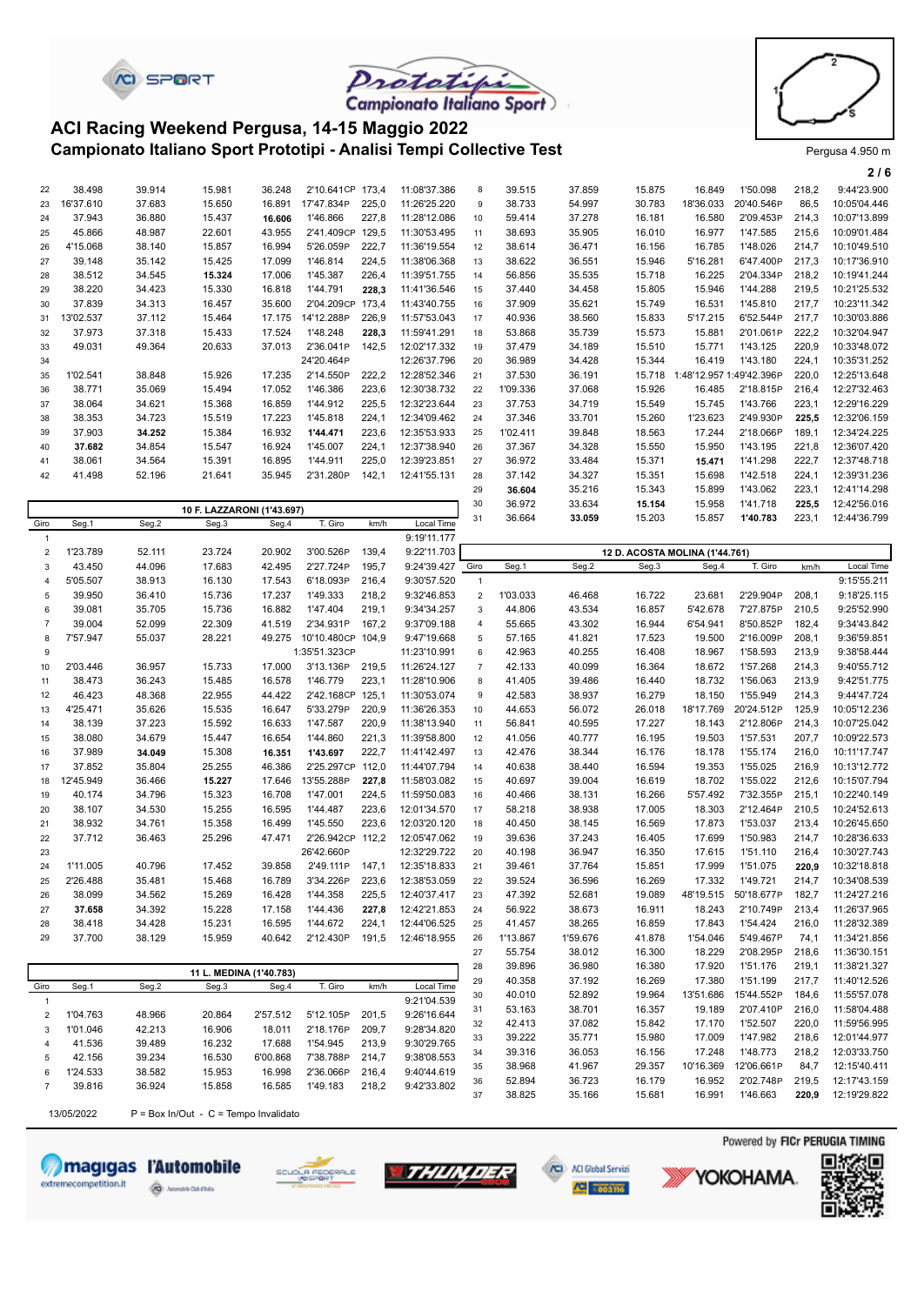



**2 / 6**

#### **Campionato Italiano Sport Prototipi - Analisi Tempi Collective Test** Prototing Pergusa 4.950 m **ACI Racing Weekend Pergusa, 14-15 Maggio 2022**

**CI SPORT** 

|                |           |        |                            |                |                   |       |              |                |          |        |        |                                |            |       | 2/6          |
|----------------|-----------|--------|----------------------------|----------------|-------------------|-------|--------------|----------------|----------|--------|--------|--------------------------------|------------|-------|--------------|
| 22             | 38.498    | 39.914 | 15.981                     | 36.248         | 2'10.641CP 173,4  |       | 11:08'37.386 | 8              | 39.515   | 37.859 | 15.875 | 16.849                         | 1'50.098   | 218,2 | 9:44'23.900  |
| 23             | 16'37.610 | 37.683 | 15.650                     | 16.891         | 17'47.834P        | 225,0 | 11:26'25.220 | 9              | 38.733   | 54.997 | 30.783 | 18'36.033                      | 20'40.546P | 86,5  | 10:05'04.446 |
| 24             | 37.943    | 36.880 | 15.437                     | 16.606         | 1'46.866          | 227,8 | 11:28'12.086 | 10             | 59.414   | 37.278 | 16.181 | 16.580                         | 2'09.453P  | 214,3 | 10:07'13.899 |
| 25             | 45.866    | 48.987 | 22.601                     | 43.955         | 2'41.409CP        | 129,5 | 11:30'53.495 | 11             | 38.693   | 35.905 | 16.010 | 16.977                         | 1'47.585   | 215,6 | 10:09'01.484 |
| 26             | 4'15.068  | 38.140 | 15.857                     | 16.994         | 5'26.059P         | 222,7 | 11:36'19.554 | 12             | 38.614   | 36.471 | 16.156 | 16.785                         | 1'48.026   | 214,7 | 10:10'49.510 |
| 27             | 39.148    | 35.142 | 15.425                     | 17.099         | 1'46.814          | 224,5 | 11:38'06.368 | 13             | 38.622   | 36.551 | 15.946 | 5'16.281                       | 6'47.400P  | 217,3 | 10:17'36.910 |
| 28             | 38.512    | 34.545 | 15.324                     | 17.006         | 1'45.387          | 226,4 | 11:39'51.755 | 14             | 56.856   | 35.535 | 15.718 | 16.225                         | 2'04.334P  | 218,2 | 10:19'41.244 |
| 29             | 38.220    | 34.423 | 15.330                     | 16.818         | 1'44.791          | 228,3 | 11:41'36.546 | 15             | 37.440   | 34.458 | 15.805 | 15.946                         | 1'44.288   | 219,5 | 10:21'25.532 |
| 30             | 37.839    | 34.313 | 16.457                     | 35.600         | 2'04.209CP 173,4  |       | 11:43'40.755 | 16             | 37.909   | 35.621 | 15.749 | 16.531                         | 1'45.810   | 217,7 | 10:23'11.342 |
| 31             | 13'02.537 | 37.112 | 15.464                     | 17.175         | 14'12.288P        | 226,9 | 11:57'53.043 | 17             | 40.936   | 38.560 | 15.833 | 5'17.215                       | 6'52.544P  | 217,7 | 10:30'03.886 |
| 32             | 37.973    | 37.318 | 15.433                     | 17.524         | 1'48.248          | 228,3 | 11:59'41.291 | 18             | 53.868   | 35.739 | 15.573 | 15.881                         | 2'01.061P  | 222,2 | 10:32'04.947 |
| 33             | 49.031    | 49.364 | 20.633                     | 37.013         | 2'36.041P         | 142,5 | 12:02'17.332 | 19             | 37.479   | 34.189 | 15.510 | 15.771                         | 1'43.125   | 220,9 | 10:33'48.072 |
| 34             |           |        |                            |                | 24'20.464P        |       | 12:26'37.796 | 20             | 36.989   | 34.428 | 15.344 | 16.419                         | 1'43.180   | 224,1 | 10:35'31.252 |
| 35             | 1'02.541  | 38.848 | 15.926                     | 17.235         | 2'14.550P         | 222,2 | 12:28'52.346 | 21             | 37.530   | 36.191 | 15.718 | 1:48'12.957 1:49'42.396P       |            | 220,0 | 12:25'13.648 |
| 36             | 38.771    | 35.069 | 15.494                     | 17.052         | 1'46.386          | 223,6 | 12:30'38.732 | 22             | 1'09.336 | 37.068 | 15.926 | 16.485                         | 2'18.815P  | 216,4 | 12:27'32.463 |
| 37             | 38.064    | 34.621 | 15.368                     | 16.859         | 1'44.912          | 225,5 | 12:32'23.644 | 23             | 37.753   | 34.719 | 15.549 | 15.745                         | 1'43.766   | 223,1 | 12:29'16.229 |
| 38             | 38.353    | 34.723 | 15.519                     | 17.223         | 1'45.818          | 224.1 | 12:34'09.462 | 24             | 37.346   | 33.701 | 15.260 | 1'23.623                       | 2'49.930P  | 225.5 | 12:32'06.159 |
| 39             | 37.903    | 34.252 | 15.384                     | 16.932         | 1'44.471          | 223,6 | 12:35'53.933 | 25             | 1'02.411 | 39.848 | 18.563 | 17.244                         | 2'18.066P  | 189,1 | 12:34'24.225 |
| 40             | 37.682    | 34.854 | 15.547                     | 16.924         | 1'45.007          | 224,1 | 12:37'38.940 | 26             | 37.367   | 34.328 | 15.550 | 15.950                         | 1'43.195   | 221,8 | 12:36'07.420 |
| 41             | 38.061    | 34.564 | 15.391                     | 16.895         | 1'44.911          | 225,0 | 12:39'23.851 | 27             | 36.972   | 33.484 | 15.371 | 15.471                         | 1'41.298   | 222,7 | 12:37'48.718 |
| 42             | 41.498    | 52.196 | 21.641                     | 35.945         | 2'31.280P         | 142,1 | 12:41'55.131 | 28             | 37.142   | 34.327 | 15.351 | 15.698                         | 1'42.518   | 224,1 | 12:39'31.236 |
|                |           |        |                            |                |                   |       |              | 29             | 36.604   | 35.216 | 15.343 | 15.899                         | 1'43.062   | 223.1 | 12:41'14.298 |
|                |           |        | 10 F. LAZZARONI (1'43.697) |                |                   |       |              | 30             | 36.972   | 33.634 | 15.154 | 15.958                         | 1'41.718   | 225,5 | 12:42'56.016 |
| Giro           | Seg.1     | Seg.2  | Seg.3                      | Seg.4          | T. Giro           | km/h  | Local Time   | 31             | 36.664   | 33.059 | 15.203 | 15.857                         | 1'40.783   | 223,1 | 12:44'36.799 |
| $\overline{1}$ |           |        |                            |                |                   |       | 9:19'11.177  |                |          |        |        |                                |            |       |              |
| $\overline{2}$ | 1'23.789  | 52.111 | 23.724                     | 20.902         | 3'00.526P         | 139,4 | 9:22'11.703  |                |          |        |        | 12 D. ACOSTA MOLINA (1'44.761) |            |       |              |
| 3              | 43.450    | 44.096 | 17.683                     | 42.495         | 2'27.724P         | 195,7 | 9:24'39.427  | Giro           | Seg.1    | Seg.2  | Seg.3  | Seg.4                          | T. Giro    | km/h  | Local Time   |
| 4              | 5'05.507  | 38.913 | 16.130                     | 17.543         | 6'18.093P         | 216,4 | 9:30'57.520  | $\mathbf{1}$   |          |        |        |                                |            |       | 9:15'55.211  |
| 5              | 39.950    | 36.410 | 15.736                     | 17.237         | 1'49.333          | 218,2 | 9:32'46.853  | $\overline{2}$ | 1'03.033 | 46.468 | 16.722 | 23.681                         | 2'29.904P  | 208,1 | 9:18'25.115  |
| 6              | 39.081    | 35.705 | 15.736                     | 16.882         | 1'47.404          | 219,1 | 9:34'34.257  | 3              | 44.806   | 43.534 | 16.857 | 5'42.678                       | 7'27.875P  | 210,5 | 9:25'52.990  |
| $\overline{7}$ | 39.004    | 52.099 | 22.309                     | 41.519         | 2'34.931P         | 167,2 | 9:37'09.188  | $\overline{4}$ | 55.665   | 43.302 | 16.944 | 6'54.941                       | 8'50.852P  | 182,4 | 9:34'43.842  |
| 8              | 7'57.947  | 55.037 | 28.221                     | 49.275         | 10'10.480CP 104.9 |       | 9:47'19.668  | 5              | 57.165   | 41.821 | 17.523 | 19.500                         | 2'16.009P  | 208,1 | 9:36'59.851  |
| 9              |           |        |                            |                | 1:35'51.323CP     |       | 11:23'10.991 | 6              | 42.963   | 40.255 | 16.408 | 18.967                         | 1'58.593   | 213,9 | 9:38'58.444  |
| 10             | 2'03.446  | 36.957 | 15.733                     | 17.000         | 3'13.136P         | 219,5 | 11:26'24.127 | $\overline{7}$ | 42.133   | 40.099 | 16.364 | 18.672                         | 1'57.268   | 214,3 | 9:40'55.712  |
| 11             | 38.473    | 36.243 | 15.485                     | 16.578         | 1'46.779          | 223,1 | 11:28'10.906 | 8              | 41.405   | 39.486 | 16.440 | 18.732                         | 1'56.063   | 213,9 | 9:42'51.775  |
| 12             | 46.423    | 48.368 | 22.955                     | 44.422         | 2'42.168CP 125,1  |       | 11:30'53.074 | 9              | 42.583   | 38.937 | 16.279 | 18.150                         | 1'55.949   | 214,3 | 9:44'47.724  |
| 13             | 4'25.471  | 35.626 | 15.535                     | 16.647         | 5'33.279P         | 220,9 | 11:36'26.353 | 10             | 44.653   | 56.072 | 26.018 | 18'17.769                      | 20'24.512P | 125,9 | 10:05'12.236 |
|                |           |        |                            | $\overline{a}$ |                   |       |              |                |          |        |        |                                |            |       |              |

| 9    |           |        |                         |        | 1:35'51.323CP |       | 11:23'10.991 | 6              | 42.963   | 40.255   | 16.408 | 18.967    | 1'58.593   | 213.9 | 9:38'58.444  |
|------|-----------|--------|-------------------------|--------|---------------|-------|--------------|----------------|----------|----------|--------|-----------|------------|-------|--------------|
| 10   | 2'03.446  | 36.957 | 15.733                  | 17.000 | 3'13.136P     | 219,5 | 11:26'24.127 | $\overline{7}$ | 42.133   | 40.099   | 16.364 | 18.672    | 1'57.268   | 214,3 | 9:40'55.712  |
| 11   | 38.473    | 36.243 | 15.485                  | 16.578 | 1'46.779      | 223.1 | 11:28'10.906 | 8              | 41.405   | 39.486   | 16.440 | 18.732    | 1'56.063   | 213,9 | 9:42'51.775  |
| 12   | 46.423    | 48.368 | 22.955                  | 44.422 | 2'42.168CP    | 125.1 | 11:30'53.074 | 9              | 42.583   | 38.937   | 16.279 | 18.150    | 1'55.949   | 214,3 | 9:44'47.724  |
| 13   | 4'25.471  | 35.626 | 15.535                  | 16.647 | 5'33.279P     | 220,9 | 11:36'26.353 | 10             | 44.653   | 56.072   | 26.018 | 18'17.769 | 20'24.512P | 125,9 | 10:05'12.236 |
| 14   | 38.139    | 37.223 | 15.592                  | 16.633 | 1'47.587      | 220,9 | 11:38'13.940 | 11             | 56.841   | 40.595   | 17.227 | 18.143    | 2'12.806P  | 214,3 | 10:07'25.042 |
| 15   | 38.080    | 34.679 | 15.447                  | 16.654 | 1'44.860      | 221,3 | 11:39'58.800 | 12             | 41.056   | 40.777   | 16.195 | 19.503    | 1'57.531   | 207,7 | 10:09'22.573 |
| 16   | 37.989    | 34.049 | 15.308                  | 16.351 | 1'43.697      | 222,7 | 11:41'42.497 | 13             | 42.476   | 38.344   | 16.176 | 18.178    | 1'55.174   | 216,0 | 10:11'17.747 |
| 17   | 37.852    | 35.804 | 25.255                  | 46.386 | 2'25.297CP    | 112,0 | 11:44'07.794 | 14             | 40.638   | 38.440   | 16.594 | 19.353    | 1'55.025   | 216,9 | 10:13'12.772 |
| 18   | 12'45.949 | 36.466 | 15.227                  | 17.646 | 13'55.288P    | 227,8 | 11:58'03.082 | 15             | 40.697   | 39.004   | 16.619 | 18.702    | 1'55.022   | 212,6 | 10:15'07.794 |
| 19   | 40.174    | 34.796 | 15.323                  | 16.708 | 1'47.001      | 224,5 | 11:59'50.083 | 16             | 40.466   | 38.131   | 16.266 | 5'57.492  | 7'32.355P  | 215.1 | 10:22'40.149 |
| 20   | 38.107    | 34.530 | 15.255                  | 16.595 | 1'44.487      | 223,6 | 12:01'34.570 | 17             | 58.218   | 38.938   | 17.005 | 18.303    | 2'12.464P  | 210,5 | 10:24'52.613 |
| 21   | 38.932    | 34.761 | 15.358                  | 16.499 | 1'45.550      | 223,6 | 12:03'20.120 | 18             | 40.450   | 38.145   | 16.569 | 17.873    | 1'53.037   | 213,4 | 10:26'45.650 |
| 22   | 37.712    | 36.463 | 25.296                  | 47.471 | 2'26.942CP    | 112,2 | 12:05'47.062 | 19             | 39.636   | 37.243   | 16.405 | 17.699    | 1'50.983   | 214,7 | 10:28'36.633 |
| 23   |           |        |                         |        | 26'42.660P    |       | 12:32'29.722 | 20             | 40.198   | 36.947   | 16.350 | 17.615    | 1'51.110   | 216.4 | 10:30'27.743 |
| 24   | 1'11.005  | 40.796 | 17.452                  | 39.858 | 2'49.111P     | 147,1 | 12:35'18.833 | 21             | 39.461   | 37.764   | 15.851 | 17.999    | 1'51.075   | 220,9 | 10:32'18.818 |
| 25   | 2'26.488  | 35.481 | 15.468                  | 16.789 | 3'34.226P     | 223,6 | 12:38'53.059 | 22             | 39.524   | 36.596   | 16.269 | 17.332    | 1'49.721   | 214,7 | 10:34'08.539 |
| 26   | 38.099    | 34.562 | 15.269                  | 16.428 | 1'44.358      | 225,5 | 12:40'37.417 | 23             | 47.392   | 52.681   | 19.089 | 48'19.515 | 50'18.677P | 182,7 | 11:24'27.216 |
| 27   | 37.658    | 34.392 | 15.228                  | 17.158 | 1'44.436      | 227.8 | 12:42'21.853 | 24             | 56.922   | 38.673   | 16.911 | 18.243    | 2'10.749P  | 213.4 | 11:26'37.965 |
| 28   | 38.418    | 34.428 | 15.231                  | 16.595 | 1'44.672      | 224,1 | 12:44'06.525 | 25             | 41.457   | 38.265   | 16.859 | 17.843    | 1'54.424   | 216,0 | 11:28'32.389 |
| 29   | 37.700    | 38.129 | 15.959                  | 40.642 | 2'12.430P     | 191,5 | 12:46'18.955 | 26             | 1'13.867 | 1'59.676 | 41.878 | 1'54.046  | 5'49.467P  | 74.1  | 11:34'21.856 |
|      |           |        |                         |        |               |       |              | 27             | 55.754   | 38.012   | 16.300 | 18.229    | 2'08.295P  | 218.6 | 11:36'30.151 |
|      |           |        | 11 L. MEDINA (1'40.783) |        |               |       |              | 28             | 39.896   | 36.980   | 16.380 | 17.920    | 1'51.176   | 219,1 | 11:38'21.327 |
| Giro | Seg.1     | Seg.2  | Seg.3                   | Seg.4  | T. Giro       | km/h  | Local Time   | 29             | 40.358   | 37.192   | 16.269 | 17.380    | 1'51.199   | 217.7 | 11:40'12.526 |
|      |           |        |                         |        |               |       | 9.21104.539  | 30             | 40.010   | 52.892   | 19.964 | 13'51.686 | 15'44.552P | 184.6 | 11:55'57.078 |

|                |            |        |                                         | 11 L. MEDINA (1'40.783) |           |       |             | 28 | 39.896 | 36.980 | 16.380 | 17.920    | 1'51.176   | 219.1 | 11:38'21.327 |
|----------------|------------|--------|-----------------------------------------|-------------------------|-----------|-------|-------------|----|--------|--------|--------|-----------|------------|-------|--------------|
| Giro           | Seg.1      | Seg.2  | Seg.3                                   | Seg.4                   | T. Giro   | km/h  | Local Time  | 29 | 40.358 | 37.192 | 16.269 | 17.380    | 1'51.199   | 217.7 | 11:40'12.526 |
|                |            |        |                                         |                         |           |       | 9:21'04.539 | 30 | 40.010 | 52.892 | 19.964 | 13'51.686 | 15'44.552P | 184.6 | 11:55'57.078 |
|                |            |        |                                         |                         |           |       |             | 31 | 53.163 | 38.701 | 16.357 | 19.189    | 2'07.410P  | 216.0 | 11:58'04.488 |
| $\overline{2}$ | 1'04.763   | 48.966 | 20.864                                  | 2'57.512                | 5'12.105P | 201.5 | 9:26'16.644 | 32 | 42.413 | 37.082 | 15.842 | 17.170    | 1'52.507   | 220.0 | 11:59'56.995 |
| 3              | 1'01.046   | 42.213 | 16.906                                  | 18.011                  | 2'18.176P | 209.7 | 9:28'34.820 | 33 | 39.222 | 35.771 | 15.980 | 17.009    | 1'47.982   | 218.6 | 12:01'44.977 |
| 4              | 41.536     | 39.489 | 16.232                                  | 17.688                  | 1'54.945  | 213.9 | 9:30'29.765 | 34 | 39.316 | 36.053 | 16.156 | 17.248    | 1'48.773   | 218,2 | 12:03'33.750 |
| 5              | 42.156     | 39.234 | 16.530                                  | 6'00.868                | 7'38.788P | 214.7 | 9:38'08.553 |    |        |        |        |           |            |       |              |
| 6.             | 1'24.533   | 38.582 | 15.953                                  | 16.998                  | 2'36.066P | 216.4 | 9:40'44.619 | 35 | 38.968 | 41.967 | 29.357 | 10'16.369 | 12'06.661P | 84.7  | 12:15'40.411 |
|                | 39.816     | 36.924 | 15.858                                  | 16.585                  | 1'49.183  | 218,2 | 9:42'33.802 | 36 | 52.894 | 36.723 | 16.179 | 16.952    | 2'02.748P  | 219.5 | 12:17'43.159 |
|                |            |        |                                         |                         |           |       |             | 37 | 38.825 | 35.166 | 15.681 | 16.991    | 1'46.663   | 220.9 | 12:19'29.822 |
|                | 13/05/2022 |        | $P = Box In/Out - C = Tempo Invalidato$ |                         |           |       |             |    |        |        |        |           |            |       |              |













УОКОНАМА.

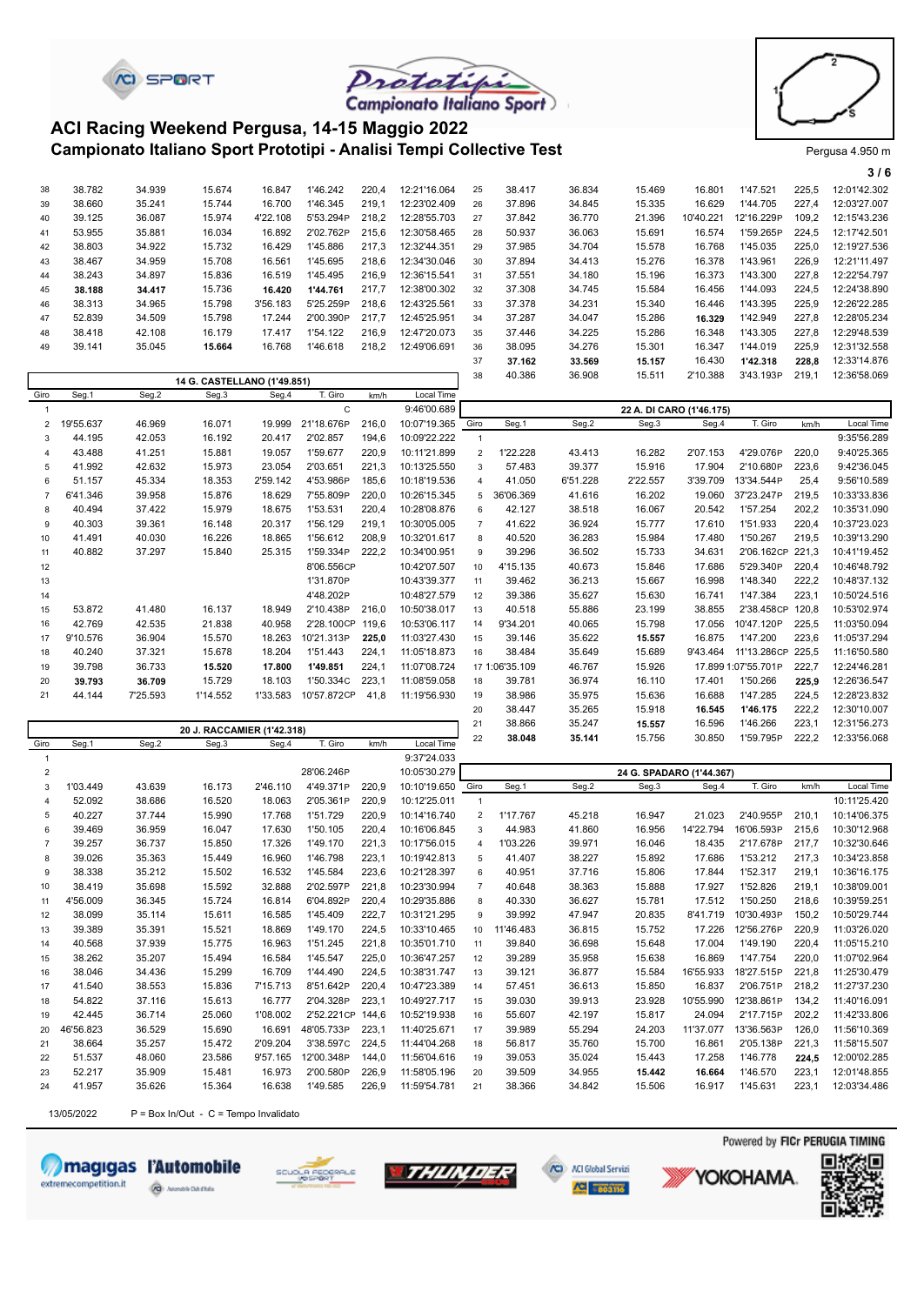



**3 / 6**

#### **Campionato Italiano Sport Prototipi - Analisi Tempi Collective Test** Prototing Pergusa 4.950 m **ACI Racing Weekend Pergusa, 14-15 Maggio 2022**

**CI SPORT** 

|    |        |        |                             |          |           |       |              |    |        |        |        |           |            |       | 316          |
|----|--------|--------|-----------------------------|----------|-----------|-------|--------------|----|--------|--------|--------|-----------|------------|-------|--------------|
| 38 | 38.782 | 34.939 | 15.674                      | 16.847   | 1'46.242  | 220,4 | 12:21'16.064 | 25 | 38.417 | 36.834 | 15.469 | 16.801    | 1'47.521   | 225,5 | 12:01'42.302 |
| 39 | 38.660 | 35.241 | 15.744                      | 16.700   | 1'46.345  | 219.1 | 12:23'02.409 | 26 | 37.896 | 34.845 | 15.335 | 16.629    | 1'44.705   | 227.4 | 12:03'27.007 |
| 40 | 39.125 | 36.087 | 15.974                      | 4'22.108 | 5'53.294P | 218.2 | 12:28'55.703 | 27 | 37.842 | 36.770 | 21.396 | 10'40.221 | 12'16.229P | 109.2 | 12:15'43.236 |
| 41 | 53.955 | 35.881 | 16.034                      | 16.892   | 2'02.762P | 215.6 | 12:30'58.465 | 28 | 50.937 | 36.063 | 15.691 | 16.574    | 1'59.265P  | 224.5 | 12:17'42.501 |
| 42 | 38,803 | 34.922 | 15.732                      | 16.429   | 1'45.886  | 217.3 | 12:32'44.351 | 29 | 37.985 | 34.704 | 15.578 | 16.768    | 1'45.035   | 225.0 | 12:19'27.536 |
| 43 | 38.467 | 34.959 | 15.708                      | 16.561   | 1'45.695  | 218.6 | 12:34'30.046 | 30 | 37.894 | 34.413 | 15.276 | 16.378    | 1'43.961   | 226.9 | 12:21'11.497 |
| 44 | 38.243 | 34.897 | 15.836                      | 16.519   | 1'45.495  | 216.9 | 12:36'15.541 | 31 | 37.551 | 34.180 | 15.196 | 16.373    | 1'43.300   | 227.8 | 12:22'54.797 |
| 45 | 38.188 | 34.417 | 15.736                      | 16.420   | 1'44.761  | 217.7 | 12:38'00.302 | 32 | 37.308 | 34.745 | 15.584 | 16.456    | 1'44.093   | 224.5 | 12:24'38.890 |
| 46 | 38.313 | 34.965 | 15.798                      | 3'56.183 | 5'25.259P | 218.6 | 12:43'25.561 | 33 | 37.378 | 34.231 | 15.340 | 16.446    | 1'43.395   | 225,9 | 12:26'22.285 |
| 47 | 52.839 | 34.509 | 15.798                      | 17.244   | 2'00.390P | 217.7 | 12:45'25.951 | 34 | 37.287 | 34.047 | 15.286 | 16.329    | 1'42.949   | 227.8 | 12:28'05.234 |
| 48 | 38.418 | 42.108 | 16.179                      | 17.417   | 1'54.122  | 216.9 | 12:47'20.073 | 35 | 37.446 | 34.225 | 15.286 | 16.348    | 1'43.305   | 227.8 | 12:29'48.539 |
| 49 | 39.141 | 35.045 | 15.664                      | 16.768   | 1'46.618  | 218.2 | 12:49'06.691 | 36 | 38.095 | 34.276 | 15.301 | 16.347    | 1'44.019   | 225.9 | 12:31'32.558 |
|    |        |        |                             |          |           |       |              | 37 | 37.162 | 33.569 | 15.157 | 16.430    | 1'42.318   | 228,8 | 12:33'14.876 |
|    |        |        | 14 G. CASTELLANO (1'49.851) |          |           |       |              | 38 | 40.386 | 36.908 | 15.511 | 2'10.388  | 3'43.193P  | 219.1 | 12:36'58.069 |
|    |        |        |                             |          |           |       |              |    |        |        |        |           |            |       |              |

| Giro           | Seg.1     | Seg.2    | Seg.3                      | Seg.4    | T. Giro     | km/h  | Local Time   |                |                |          |                          |          |                     |       |              |
|----------------|-----------|----------|----------------------------|----------|-------------|-------|--------------|----------------|----------------|----------|--------------------------|----------|---------------------|-------|--------------|
|                |           |          |                            |          | C           |       | 9:46'00.689  |                |                |          | 22 A. DI CARO (1'46.175) |          |                     |       |              |
| $\overline{2}$ | 19'55.637 | 46.969   | 16.071                     | 19.999   | 21'18.676P  | 216.0 | 10:07'19.365 | Giro           | Seg.1          | Seg.2    | Seg.3                    | Seg.4    | T. Giro             | km/h  | Local Time   |
| 3              | 44.195    | 42.053   | 16.192                     | 20.417   | 2'02.857    | 194,6 | 10:09'22.222 |                |                |          |                          |          |                     |       | 9:35'56.289  |
| $\overline{4}$ | 43.488    | 41.251   | 15.881                     | 19.057   | 1'59.677    | 220,9 | 10:11'21.899 | $\overline{2}$ | 1'22.228       | 43.413   | 16.282                   | 2'07.153 | 4'29.076P           | 220,0 | 9:40'25.365  |
| 5              | 41.992    | 42.632   | 15.973                     | 23.054   | 2'03.651    | 221,3 | 10:13'25.550 | 3              | 57.483         | 39.377   | 15.916                   | 17.904   | 2'10.680P           | 223,6 | 9:42'36.045  |
| 6              | 51.157    | 45.334   | 18.353                     | 2'59.142 | 4'53.986P   | 185,6 | 10:18'19.536 | $\overline{4}$ | 41.050         | 6'51.228 | 2'22.557                 | 3'39.709 | 13'34.544P          | 25,4  | 9:56'10.589  |
| $\overline{7}$ | 6'41.346  | 39.958   | 15.876                     | 18.629   | 7'55.809P   | 220,0 | 10:26'15.345 | 5              | 36'06.369      | 41.616   | 16.202                   | 19.060   | 37'23.247P          | 219,5 | 10:33'33.836 |
| 8              | 40.494    | 37.422   | 15.979                     | 18.675   | 1'53.531    | 220,4 | 10:28'08.876 | 6              | 42.127         | 38.518   | 16.067                   | 20.542   | 1'57.254            | 202,2 | 10:35'31.090 |
| 9              | 40.303    | 39.361   | 16.148                     | 20.317   | 1'56.129    | 219,1 | 10:30'05.005 | $\overline{7}$ | 41.622         | 36.924   | 15.777                   | 17.610   | 1'51.933            | 220,4 | 10:37'23.023 |
| 10             | 41.491    | 40.030   | 16.226                     | 18.865   | 1'56.612    | 208,9 | 10:32'01.617 | 8              | 40.520         | 36.283   | 15.984                   | 17.480   | 1'50.267            | 219,5 | 10:39'13.290 |
| 11             | 40.882    | 37.297   | 15.840                     | 25.315   | 1'59.334P   | 222,2 | 10:34'00.951 | 9              | 39.296         | 36.502   | 15.733                   | 34.631   | 2'06.162CP          | 221,3 | 10:41'19.452 |
| 12             |           |          |                            |          | 8'06.556CP  |       | 10:42'07.507 | 10             | 4'15.135       | 40.673   | 15.846                   | 17.686   | 5'29.340P           | 220,4 | 10:46'48.792 |
| 13             |           |          |                            |          | 1'31.870P   |       | 10:43'39.377 | 11             | 39.462         | 36.213   | 15.667                   | 16.998   | 1'48.340            | 222,2 | 10:48'37.132 |
| 14             |           |          |                            |          | 4'48.202P   |       | 10:48'27.579 | 12             | 39.386         | 35.627   | 15.630                   | 16.741   | 1'47.384            | 223,1 | 10:50'24.516 |
| 15             | 53.872    | 41.480   | 16.137                     | 18.949   | 2'10.438P   | 216.0 | 10:50'38.017 | 13             | 40.518         | 55.886   | 23.199                   | 38.855   | 2'38.458CP          | 120.8 | 10:53'02.974 |
| 16             | 42.769    | 42.535   | 21.838                     | 40.958   | 2'28.100CP  | 119,6 | 10:53'06.117 | 14             | 9'34.201       | 40.065   | 15.798                   | 17.056   | 10'47.120P          | 225,5 | 11:03'50.094 |
| 17             | 9'10.576  | 36.904   | 15.570                     | 18.263   | 10'21.313P  | 225,0 | 11:03'27.430 | 15             | 39.146         | 35.622   | 15.557                   | 16.875   | 1'47.200            | 223,6 | 11:05'37.294 |
| 18             | 40.240    | 37.321   | 15.678                     | 18.204   | 1'51.443    | 224,1 | 11:05'18.873 | 16             | 38.484         | 35.649   | 15.689                   | 9'43.464 | 11'13.286CP         | 225,5 | 11:16'50.580 |
| 19             | 39.798    | 36.733   | 15.520                     | 17.800   | 1'49.851    | 224,1 | 11:07'08.724 |                | 17 1:06'35.109 | 46.767   | 15.926                   |          | 17.899 1:07'55.701P | 222,7 | 12:24'46.281 |
| 20             | 39.793    | 36.709   | 15.729                     | 18.103   | 1'50.334C   | 223,1 | 11:08'59.058 | 18             | 39.781         | 36.974   | 16.110                   | 17.401   | 1'50.266            | 225,9 | 12:26'36.547 |
| 21             | 44.144    | 7'25.593 | 1'14.552                   | 1'33.583 | 10'57.872CP | 41.8  | 11:19'56.930 | 19             | 38.986         | 35.975   | 15.636                   | 16.688   | 1'47.285            | 224,5 | 12:28'23.832 |
|                |           |          |                            |          |             |       |              | 20             | 38.447         | 35.265   | 15.918                   | 16.545   | 1'46.175            | 222,2 | 12:30'10.007 |
|                |           |          | 20 J. RACCAMIER (1'42.318) |          |             |       |              | 21             | 38.866         | 35.247   | 15.557                   | 16.596   | 1'46.266            | 223,1 | 12:31'56.273 |
|                |           |          |                            |          |             |       |              | 22             | 38 048         | 35 141   | 15 756                   | 30 850   | 1'59 795P           | 2222  | 12:33'56 068 |

|                |           |        | <b>20 J. RAUGAMIER (1'42.318)</b> |          |            |       |                   |                |           |        |                          | 30.850    | 1'59.795P  |       | 12:33'56.068 |
|----------------|-----------|--------|-----------------------------------|----------|------------|-------|-------------------|----------------|-----------|--------|--------------------------|-----------|------------|-------|--------------|
| Giro           | Seg.1     | Seg.2  | Seg.3                             | Seg.4    | T. Giro    | km/h  | Local Time        | 22             | 38.048    | 35.141 | 15.756                   |           |            | 222,2 |              |
| $\overline{1}$ |           |        |                                   |          |            |       | 9:37'24.033       |                |           |        |                          |           |            |       |              |
| $\overline{2}$ |           |        |                                   |          | 28'06.246P |       | 10:05'30.279      |                |           |        | 24 G. SPADARO (1'44.367) |           |            |       |              |
| 3              | 1'03.449  | 43.639 | 16.173                            | 2'46.110 | 4'49.371P  | 220,9 | 10:10'19.650 Giro |                | Seg.1     | Seg.2  | Seg.3                    | Seg.4     | T. Giro    | km/h  | Local Time   |
| $\overline{4}$ | 52.092    | 38.686 | 16.520                            | 18.063   | 2'05.361P  | 220,9 | 10:12'25.011      | $\overline{1}$ |           |        |                          |           |            |       | 10:11'25.420 |
| 5              | 40.227    | 37.744 | 15.990                            | 17.768   | 1'51.729   | 220,9 | 10:14'16.740      | $\overline{2}$ | 1'17.767  | 45.218 | 16.947                   | 21.023    | 2'40.955P  | 210.1 | 10:14'06.375 |
| 6              | 39.469    | 36.959 | 16.047                            | 17.630   | 1'50.105   | 220,4 | 10:16'06.845      | 3              | 44.983    | 41.860 | 16.956                   | 14'22.794 | 16'06.593P | 215,6 | 10:30'12.968 |
| $\overline{7}$ | 39.257    | 36.737 | 15,850                            | 17.326   | 1'49.170   | 221,3 | 10:17'56.015      | $\overline{4}$ | 1'03.226  | 39.971 | 16.046                   | 18.435    | 2'17.678P  | 217,7 | 10:32'30.646 |
| 8              | 39.026    | 35.363 | 15.449                            | 16.960   | 1'46.798   | 223,1 | 10:19'42.813      | 5              | 41.407    | 38.227 | 15.892                   | 17.686    | 1'53.212   | 217,3 | 10:34'23.858 |
| 9              | 38.338    | 35.212 | 15.502                            | 16.532   | 1'45.584   | 223,6 | 10:21'28.397      | 6              | 40.951    | 37.716 | 15.806                   | 17.844    | 1'52.317   | 219,1 | 10:36'16.175 |
| 10             | 38.419    | 35.698 | 15.592                            | 32.888   | 2'02.597P  | 221,8 | 10:23'30.994      | $\overline{7}$ | 40.648    | 38.363 | 15.888                   | 17.927    | 1'52.826   | 219,1 | 10:38'09.001 |
| 11             | 4'56.009  | 36.345 | 15.724                            | 16.814   | 6'04.892P  | 220,4 | 10:29'35.886      | 8              | 40.330    | 36.627 | 15.781                   | 17.512    | 1'50.250   | 218,6 | 10:39'59.251 |
| 12             | 38.099    | 35.114 | 15.611                            | 16.585   | 1'45.409   | 222,7 | 10:31'21.295      | 9              | 39.992    | 47.947 | 20.835                   | 8'41.719  | 10'30.493P | 150,2 | 10:50'29.744 |
| 13             | 39.389    | 35.391 | 15.521                            | 18.869   | 1'49.170   | 224,5 | 10:33'10.465      | 10             | 11'46.483 | 36.815 | 15.752                   | 17.226    | 12'56.276P | 220,9 | 11:03'26.020 |
| 14             | 40.568    | 37.939 | 15.775                            | 16.963   | 1'51.245   | 221,8 | 10:35'01.710      | 11             | 39.840    | 36.698 | 15.648                   | 17.004    | 1'49.190   | 220,4 | 11:05'15.210 |
| 15             | 38.262    | 35.207 | 15.494                            | 16.584   | 1'45.547   | 225,0 | 10:36'47.257      | 12             | 39.289    | 35.958 | 15.638                   | 16.869    | 1'47.754   | 220,0 | 11:07'02.964 |
| 16             | 38.046    | 34.436 | 15.299                            | 16.709   | 1'44.490   | 224,5 | 10:38'31.747      | 13             | 39.121    | 36.877 | 15.584                   | 16'55.933 | 18'27.515P | 221.8 | 11:25'30.479 |
| 17             | 41.540    | 38.553 | 15.836                            | 7'15.713 | 8'51.642P  | 220,4 | 10:47'23.389      | 14             | 57.451    | 36.613 | 15.850                   | 16.837    | 2'06.751P  | 218,2 | 11:27'37.230 |
| 18             | 54.822    | 37.116 | 15.613                            | 16.777   | 2'04.328P  | 223,1 | 10:49'27.717      | 15             | 39.030    | 39.913 | 23.928                   | 10'55.990 | 12'38.861P | 134,2 | 11:40'16.091 |
| 19             | 42.445    | 36.714 | 25.060                            | 1'08.002 | 2'52.221CP | 144,6 | 10:52'19.938      | 16             | 55.607    | 42.197 | 15.817                   | 24.094    | 2'17.715P  | 202,2 | 11:42'33.806 |
| 20             | 46'56.823 | 36.529 | 15.690                            | 16.691   | 48'05.733P | 223.1 | 11:40'25.671      | 17             | 39.989    | 55.294 | 24.203                   | 11'37.077 | 13'36.563P | 126,0 | 11:56'10.369 |
| 21             | 38.664    | 35.257 | 15.472                            | 2'09.204 | 3'38.597C  | 224.5 | 11:44'04.268      | 18             | 56.817    | 35.760 | 15.700                   | 16.861    | 2'05.138P  | 221,3 | 11:58'15.507 |
| 22             | 51.537    | 48.060 | 23.586                            | 9'57.165 | 12'00.348P | 144.0 | 11:56'04.616      | 19             | 39.053    | 35.024 | 15.443                   | 17.258    | 1'46.778   | 224,5 | 12:00'02.285 |
| 23             | 52.217    | 35.909 | 15.481                            | 16.973   | 2'00.580P  | 226.9 | 11:58'05.196      | 20             | 39.509    | 34.955 | 15.442                   | 16.664    | 1'46.570   | 223.1 | 12:01'48.855 |
| 24             | 41.957    | 35.626 | 15.364                            | 16.638   | 1'49.585   | 226,9 | 11:59'54.781      | 21             | 38.366    | 34.842 | 15.506                   | 16.917    | 1'45.631   | 223,1 | 12:03'34.486 |
|                |           |        |                                   |          |            |       |                   |                |           |        |                          |           |            |       |              |

13/05/2022  $P = Box In/Out - C = Tempo Invalidato$ 













**YOKOHAMA** 

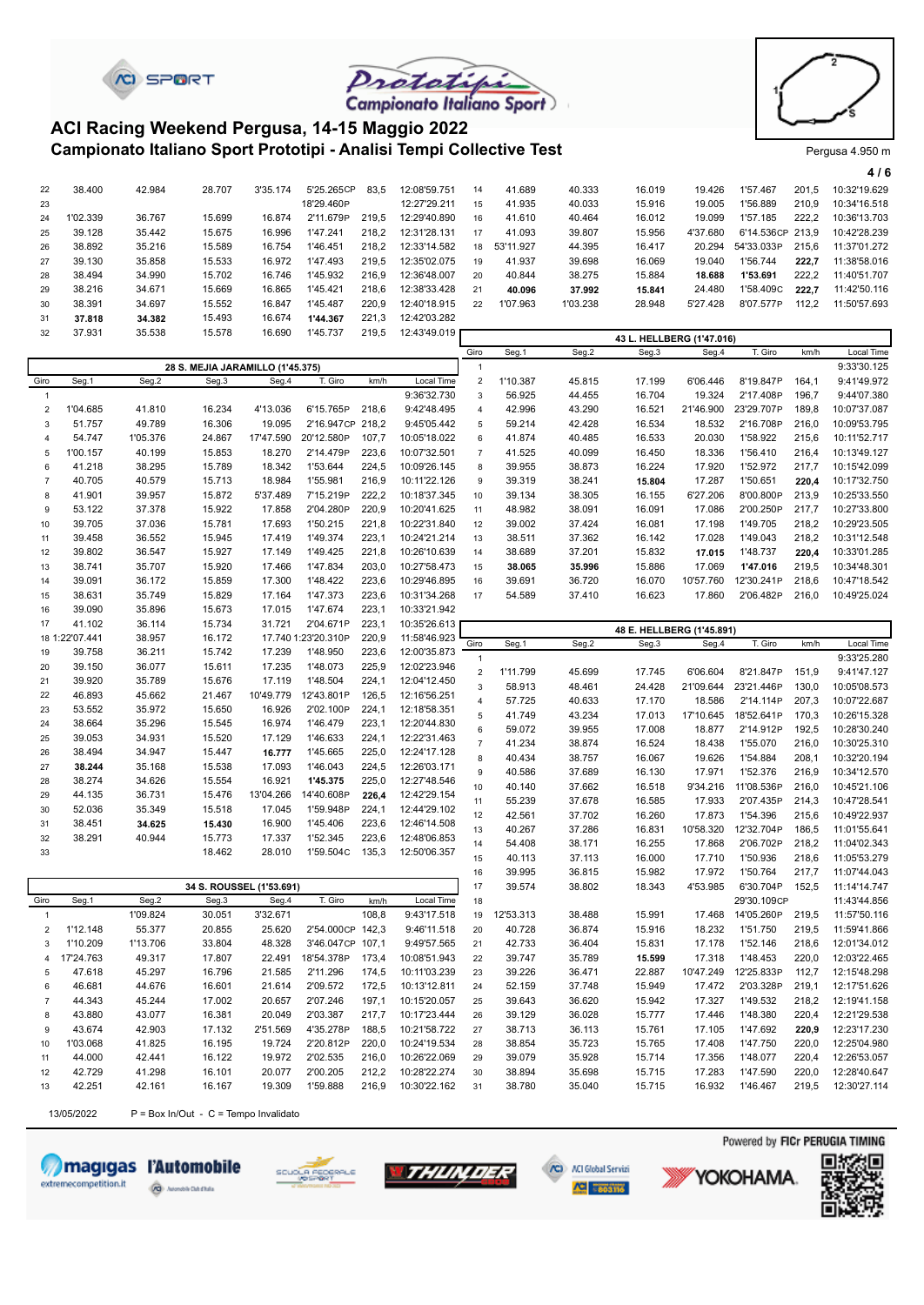



#### **Campionato Italiano Sport Prototipi - Analisi Tempi Collective Test** Prototing Pergusa 4.950 m **ACI Racing Weekend Pergusa, 14-15 Maggio 2022**

**CI SPORT** 

|    |          |        |        |          |            |       |              |    |           |          |                           |          |                  |       | 4/6          |
|----|----------|--------|--------|----------|------------|-------|--------------|----|-----------|----------|---------------------------|----------|------------------|-------|--------------|
| 22 | 38,400   | 42.984 | 28.707 | 3'35.174 | 5'25.265CP | 83.5  | 12:08'59.751 | 14 | 41.689    | 40.333   | 16.019                    | 19.426   | 1'57.467         | 201.5 | 10:32'19.629 |
| 23 |          |        |        |          | 18'29.460P |       | 12:27'29.211 | 15 | 41.935    | 40.033   | 15.916                    | 19.005   | 1'56.889         | 210.9 | 10:34'16.518 |
| 24 | 1'02.339 | 36.767 | 15.699 | 16.874   | 2'11.679P  | 219.5 | 12:29'40.890 | 16 | 41.610    | 40.464   | 16.012                    | 19.099   | 1'57.185         | 222.2 | 10:36'13.703 |
| 25 | 39.128   | 35.442 | 15.675 | 16.996   | 1'47.241   | 218.2 | 12:31'28.131 | 17 | 41.093    | 39.807   | 15.956                    | 4'37.680 | 6'14.536CP 213.9 |       | 10:42'28.239 |
| 26 | 38.892   | 35.216 | 15.589 | 16.754   | 1'46.451   | 218.2 | 12:33'14.582 | 18 | 53'11.927 | 44.395   | 16.417                    | 20.294   | 54'33.033P       | 215.6 | 11:37'01.272 |
| 27 | 39.130   | 35.858 | 15.533 | 16.972   | 1'47.493   | 219.5 | 12:35'02.075 | 19 | 41.937    | 39.698   | 16.069                    | 19.040   | 1'56.744         | 222.7 | 11:38'58.016 |
| 28 | 38.494   | 34.990 | 15.702 | 16.746   | 1'45.932   | 216.9 | 12:36'48.007 | 20 | 40.844    | 38.275   | 15.884                    | 18.688   | 1'53.691         | 222.2 | 11:40'51.707 |
| 29 | 38.216   | 34.671 | 15.669 | 16.865   | 1'45.421   | 218.6 | 12:38'33.428 | 21 | 40.096    | 37.992   | 15.841                    | 24.480   | 1'58.409C        | 222.7 | 11:42'50.116 |
| 30 | 38.391   | 34.697 | 15.552 | 16.847   | 1'45.487   | 220.9 | 12:40'18.915 | 22 | 1'07.963  | 1'03.238 | 28.948                    | 5'27.428 | 8'07.577P        | 112.2 | 11:50'57.693 |
| 31 | 37.818   | 34.382 | 15.493 | 16.674   | 1'44.367   | 221.3 | 12:42'03.282 |    |           |          |                           |          |                  |       |              |
| 32 | 37.931   | 35.538 | 15.578 | 16.690   | 1'45.737   | 219,5 | 12:43'49.019 |    |           |          | 43 L. HELLBERG (1'47.016) |          |                  |       |              |

|                                  |                |          |                          |           |                     |       |              | Giro             | Seg.1     | Seg.2  | Seg.3                     | Seg.4     | T. Giro     | km/h  | Local Time   |
|----------------------------------|----------------|----------|--------------------------|-----------|---------------------|-------|--------------|------------------|-----------|--------|---------------------------|-----------|-------------|-------|--------------|
| 28 S. MEJIA JARAMILLO (1'45.375) |                |          |                          |           |                     |       |              |                  |           |        |                           |           |             |       | 9:33'30.125  |
| Giro                             | Seg.1          | Seg.2    | Seg.3                    | Seg.4     | T. Giro             | km/h  | Local Time   | $\overline{2}$   | 1'10.387  | 45.815 | 17.199                    | 6'06.446  | 8'19.847P   | 164,1 | 9:41'49.972  |
| $\mathbf{1}$                     |                |          |                          |           |                     |       | 9:36'32.730  | $\mathsf 3$      | 56.925    | 44.455 | 16.704                    | 19.324    | 2'17.408P   | 196,7 | 9:44'07.380  |
| $\overline{2}$                   | 1'04.685       | 41.810   | 16.234                   | 4'13.036  | 6'15.765P           | 218,6 | 9:42'48.495  | $\overline{4}$   | 42.996    | 43.290 | 16.521                    | 21'46.900 | 23'29.707P  | 189,8 | 10:07'37.087 |
| 3                                | 51.757         | 49.789   | 16.306                   | 19.095    | 2'16.947CP 218,2    |       | 9:45'05.442  | 5                | 59.214    | 42.428 | 16.534                    | 18.532    | 2'16.708P   | 216,0 | 10:09'53.795 |
| $\overline{4}$                   | 54.747         | 1'05.376 | 24.867                   | 17'47.590 | 20'12.580P          | 107,7 | 10:05'18.022 | 6                | 41.874    | 40.485 | 16.533                    | 20.030    | 1'58.922    | 215,6 | 10:11'52.717 |
| 5                                | 1'00.157       | 40.199   | 15.853                   | 18.270    | 2'14.479P           | 223,6 | 10:07'32.501 | $\overline{7}$   | 41.525    | 40.099 | 16.450                    | 18.336    | 1'56.410    | 216,4 | 10:13'49.127 |
| 6                                | 41.218         | 38.295   | 15.789                   | 18.342    | 1'53.644            | 224,5 | 10:09'26.145 | 8                | 39.955    | 38.873 | 16.224                    | 17.920    | 1'52.972    | 217,7 | 10:15'42.099 |
| $\overline{7}$                   | 40.705         | 40.579   | 15.713                   | 18.984    | 1'55.981            | 216,9 | 10:11'22.126 | 9                | 39.319    | 38.241 | 15.804                    | 17.287    | 1'50.651    | 220.4 | 10:17'32.750 |
| 8                                | 41.901         | 39.957   | 15.872                   | 5'37.489  | 7'15.219P           | 222,2 | 10:18'37.345 | 10               | 39.134    | 38.305 | 16.155                    | 6'27.206  | 8'00.800P   | 213,9 | 10:25'33.550 |
| 9                                | 53.122         | 37.378   | 15.922                   | 17.858    | 2'04.280P           | 220,9 | 10:20'41.625 | 11               | 48.982    | 38.091 | 16.091                    | 17.086    | 2'00.250P   | 217,7 | 10:27'33.800 |
| 10                               | 39.705         | 37.036   | 15.781                   | 17.693    | 1'50.215            | 221,8 | 10:22'31.840 | 12               | 39.002    | 37.424 | 16.081                    | 17.198    | 1'49.705    | 218,2 | 10:29'23.505 |
| 11                               | 39.458         | 36.552   | 15.945                   | 17.419    | 1'49.374            | 223,1 | 10:24'21.214 | 13               | 38.511    | 37.362 | 16.142                    | 17.028    | 1'49.043    | 218,2 | 10:31'12.548 |
| 12                               | 39.802         | 36.547   | 15.927                   | 17.149    | 1'49.425            | 221,8 | 10:26'10.639 | 14               | 38.689    | 37.201 | 15.832                    | 17.015    | 1'48.737    | 220,4 | 10:33'01.285 |
| 13                               | 38.741         | 35.707   | 15.920                   | 17.466    | 1'47.834            | 203,0 | 10:27'58.473 | 15               | 38.065    | 35.996 | 15.886                    | 17.069    | 1'47.016    | 219,5 | 10:34'48.301 |
| 14                               | 39.091         | 36.172   | 15.859                   | 17.300    | 1'48.422            | 223,6 | 10:29'46.895 | 16               | 39.691    | 36.720 | 16.070                    | 10'57.760 | 12'30.241P  | 218,6 | 10:47'18.542 |
| 15                               | 38.631         | 35.749   | 15.829                   | 17.164    | 1'47.373            | 223,6 | 10:31'34.268 | 17               | 54.589    | 37.410 | 16.623                    | 17.860    | 2'06.482P   | 216,0 | 10:49'25.024 |
| 16                               |                |          |                          | 17.015    | 1'47.674            | 223,1 |              |                  |           |        |                           |           |             |       |              |
|                                  | 39.090         | 35.896   | 15.673                   | 31.721    | 2'04.671P           |       | 10:33'21.942 |                  |           |        |                           |           |             |       |              |
| 17                               | 41.102         | 36.114   | 15.734                   |           |                     | 223,1 | 10:35'26.613 |                  |           |        | 48 E. HELLBERG (1'45.891) |           |             |       |              |
|                                  | 18 1:22'07.441 | 38.957   | 16.172                   |           | 17.740 1:23'20.310P | 220,9 | 11:58'46.923 | Giro             | Seg.1     | Seg.2  | Seg.3                     | Seg.4     | T. Giro     | km/h  | Local Time   |
| 19                               | 39.758         | 36.211   | 15.742                   | 17.239    | 1'48.950            | 223,6 | 12:00'35.873 | $\mathbf{1}$     |           |        |                           |           |             |       | 9:33'25.280  |
| 20                               | 39.150         | 36.077   | 15.611                   | 17.235    | 1'48.073            | 225,9 | 12:02'23.946 | $\overline{2}$   | 1'11.799  | 45.699 | 17.745                    | 6'06.604  | 8'21.847P   | 151,9 | 9:41'47.127  |
| 21                               | 39.920         | 35.789   | 15.676                   | 17.119    | 1'48.504            | 224,1 | 12:04'12.450 | 3                | 58.913    | 48.461 | 24.428                    | 21'09.644 | 23'21.446P  | 130.0 | 10:05'08.573 |
| 22                               | 46.893         | 45.662   | 21.467                   | 10'49.779 | 12'43.801P          | 126,5 | 12:16'56.251 | $\overline{4}$   | 57.725    | 40.633 | 17.170                    | 18.586    | 2'14.114P   | 207.3 | 10:07'22.687 |
| 23                               | 53.552         | 35.972   | 15.650                   | 16.926    | 2'02.100P           | 224,1 | 12:18'58.351 | 5                | 41.749    | 43.234 | 17.013                    | 17'10.645 | 18'52.641P  | 170.3 | 10:26'15.328 |
| 24                               | 38.664         | 35.296   | 15.545                   | 16.974    | 1'46.479            | 223,1 | 12:20'44.830 | 6                | 59.072    | 39.955 | 17.008                    | 18.877    | 2'14.912P   | 192,5 | 10:28'30.240 |
| 25                               | 39.053         | 34.931   | 15.520                   | 17.129    | 1'46.633            | 224,1 | 12:22'31.463 | $\overline{7}$   | 41.234    | 38.874 | 16.524                    | 18.438    | 1'55.070    | 216,0 | 10:30'25.310 |
| 26                               | 38.494         | 34.947   | 15.447                   | 16.777    | 1'45.665            | 225,0 | 12:24'17.128 | 8                | 40.434    | 38.757 | 16.067                    | 19.626    | 1'54.884    | 208,1 | 10:32'20.194 |
| 27                               | 38.244         | 35.168   | 15.538                   | 17.093    | 1'46.043            | 224,5 | 12:26'03.171 | $\boldsymbol{9}$ | 40.586    | 37.689 | 16.130                    | 17.971    | 1'52.376    | 216,9 | 10:34'12.570 |
| 28                               | 38.274         | 34.626   | 15.554                   | 16.921    | 1'45.375            | 225,0 | 12:27'48.546 | 10               | 40.140    | 37.662 | 16.518                    | 9'34.216  | 11'08.536P  | 216,0 | 10:45'21.106 |
| 29                               | 44.135         | 36.731   | 15.476                   | 13'04.266 | 14'40.608P          | 226.4 | 12:42'29.154 | 11               | 55.239    | 37.678 | 16.585                    | 17.933    | 2'07.435P   | 214,3 | 10:47'28.541 |
| 30                               | 52.036         | 35.349   | 15.518                   | 17.045    | 1'59.948P           | 224,1 | 12:44'29.102 | 12               | 42.561    | 37.702 | 16.260                    | 17.873    | 1'54.396    | 215,6 | 10:49'22.937 |
| 31                               | 38.451         | 34.625   | 15.430                   | 16.900    | 1'45.406            | 223,6 | 12:46'14.508 | 13               | 40.267    | 37.286 | 16.831                    | 10'58.320 | 12'32.704P  | 186,5 | 11:01'55.641 |
| 32                               | 38.291         | 40.944   | 15.773                   | 17.337    | 1'52.345            | 223,6 | 12:48'06.853 | 14               | 54.408    | 38.171 | 16.255                    | 17.868    | 2'06.702P   | 218,2 | 11:04'02.343 |
| 33                               |                |          | 18.462                   | 28.010    | 1'59.504C           | 135,3 | 12:50'06.357 | 15               | 40.113    | 37.113 | 16.000                    | 17.710    | 1'50.936    | 218,6 | 11:05'53.279 |
|                                  |                |          |                          |           |                     |       |              | 16               | 39.995    | 36.815 | 15.982                    | 17.972    | 1'50.764    | 217,7 | 11:07'44.043 |
|                                  |                |          | 34 S. ROUSSEL (1'53.691) |           |                     |       |              | 17               | 39.574    | 38.802 | 18.343                    | 4'53.985  | 6'30.704P   | 152,5 | 11:14'14.747 |
| Giro                             | Seg.1          | Seg.2    | Seg.3                    | Seg.4     | T. Giro             | km/h  | Local Time   | 18               |           |        |                           |           | 29'30.109CP |       | 11:43'44.856 |
|                                  |                | 1'09.824 | 30.051                   | 3'32.671  |                     | 108,8 | 9:43'17.518  | 19               | 12'53.313 | 38.488 | 15.991                    | 17.468    | 14'05.260P  | 219,5 | 11:57'50.116 |
| $\mathbf{1}$<br>$\overline{2}$   | 1'12.148       | 55.377   | 20.855                   | 25.620    | 2'54.000CP 142,3    |       |              | 20               | 40.728    | 36.874 | 15.916                    | 18.232    | 1'51.750    | 219,5 | 11:59'41.866 |
|                                  |                |          |                          |           |                     |       | 9:46'11.518  |                  |           |        |                           |           |             |       |              |
| 3                                | 1'10.209       | 1'13.706 | 33.804                   | 48.328    | 3'46.047CP 107,1    |       | 9:49'57.565  | 21               | 42.733    | 36.404 | 15.831                    | 17.178    | 1'52.146    | 218,6 | 12:01'34.012 |
| 4                                | 17'24.763      | 49.317   | 17.807                   | 22.491    | 18'54.378P          | 173,4 | 10:08'51.943 | 22               | 39.747    | 35.789 | 15.599                    | 17.318    | 1'48.453    | 220.0 | 12:03'22.465 |
| 5                                | 47.618         | 45.297   | 16.796                   | 21.585    | 2'11.296            | 174,5 | 10:11'03.239 | 23               | 39.226    | 36.471 | 22.887                    | 10'47.249 | 12'25.833P  | 112,7 | 12:15'48.298 |
| 6                                | 46.681         | 44.676   | 16.601                   | 21.614    | 2'09.572            | 172,5 | 10:13'12.811 | 24               | 52.159    | 37.748 | 15.949                    | 17.472    | 2'03.328P   | 219,1 | 12:17'51.626 |
| $\overline{7}$                   | 44.343         | 45.244   | 17.002                   | 20.657    | 2'07.246            | 197,1 | 10:15'20.057 | 25               | 39.643    | 36.620 | 15.942                    | 17.327    | 1'49.532    | 218,2 | 12:19'41.158 |
| 8                                | 43.880         | 43.077   | 16.381                   | 20.049    | 2'03.387            | 217,7 | 10:17'23.444 | 26               | 39.129    | 36.028 | 15.777                    | 17.446    | 1'48.380    | 220,4 | 12:21'29.538 |
| 9                                | 43.674         | 42.903   | 17.132                   | 2'51.569  | 4'35.278P           | 188,5 | 10:21'58.722 | 27               | 38.713    | 36.113 | 15.761                    | 17.105    | 1'47.692    | 220.9 | 12:23'17.230 |
| 10                               | 1'03.068       | 41.825   | 16.195                   | 19.724    | 2'20.812P           | 220,0 | 10:24'19.534 | 28               | 38.854    | 35.723 | 15.765                    | 17.408    | 1'47.750    | 220,0 | 12:25'04.980 |
| 11                               | 44.000         | 42.441   | 16.122                   | 19.972    | 2'02.535            | 216,0 | 10:26'22.069 | 29               | 39.079    | 35.928 | 15.714                    | 17.356    | 1'48.077    | 220,4 | 12:26'53.057 |
| 12                               | 42.729         | 41.298   | 16.101                   | 20.077    | 2'00.205            | 212,2 | 10:28'22.274 | 30               | 38.894    | 35.698 | 15.715                    | 17.283    | 1'47.590    | 220,0 | 12:28'40.647 |

**Magigas l'Automobile THUNDER** SCUOLA FEC extremecompetition.it **Q** MODELING

13/05/2022  $P = Box In/Out - C = Tempo Invalidato$ 

42.251 42.161 16.167 19.309 1'59.888 216,9 10:30'22.162

Powered by FICr PERUGIA TIMING

**YOKOHAMA** 

38.780 35.040 15.715 16.932 1'46.467 219,5 12:30'27.114



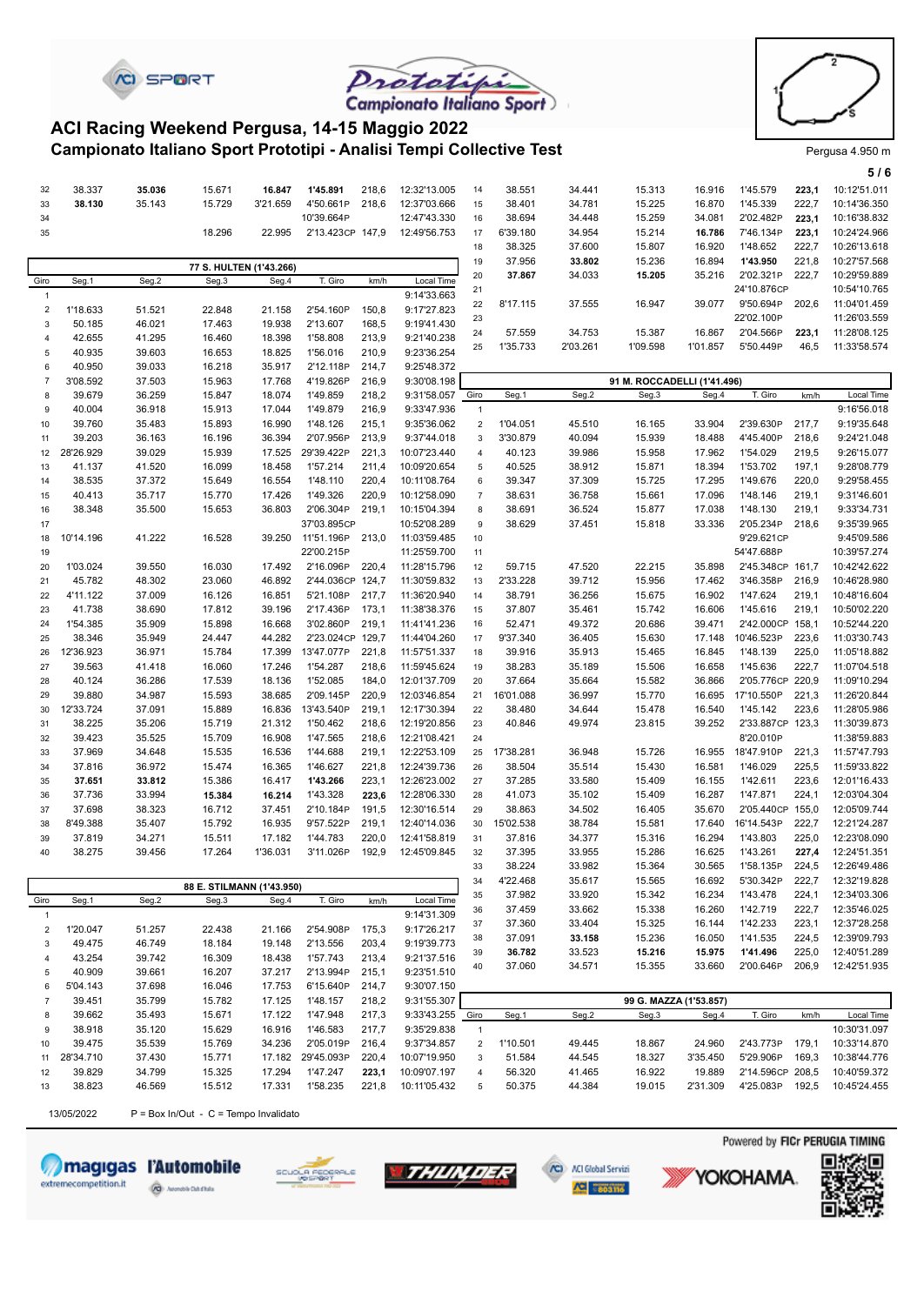



**5 / 6**

#### **Campionato Italiano Sport Prototipi - Analisi Tempi Collective Test** Prototing Pergusa 4.950 m **ACI Racing Weekend Pergusa, 14-15 Maggio 2022**

**CI SPORT** 

|                         |            |        |                                         |          |                  |       |              |                |           |          |                             |                        |                  |       | 576          |
|-------------------------|------------|--------|-----------------------------------------|----------|------------------|-------|--------------|----------------|-----------|----------|-----------------------------|------------------------|------------------|-------|--------------|
| 32                      | 38.337     | 35.036 | 15.671                                  | 16.847   | 1'45.891         | 218,6 | 12:32'13.005 | 14             | 38.551    | 34.441   | 15.313                      | 16.916                 | 1'45.579         | 223,1 | 10:12'51.011 |
| 33                      | 38.130     | 35.143 | 15.729                                  | 3'21.659 | 4'50.661P        | 218,6 | 12:37'03.666 | 15             | 38.401    | 34.781   | 15.225                      | 16.870                 | 1'45.339         | 222,7 | 10:14'36.350 |
| 34                      |            |        |                                         |          | 10'39.664P       |       | 12:47'43.330 | 16             | 38.694    | 34.448   | 15.259                      | 34.081                 | 2'02.482P        | 223,1 | 10:16'38.832 |
| 35                      |            |        | 18.296                                  | 22.995   | 2'13.423CP 147,9 |       | 12:49'56.753 | 17             | 6'39.180  | 34.954   | 15.214                      | 16.786                 | 7'46.134P        | 223,1 | 10:24'24.966 |
|                         |            |        |                                         |          |                  |       |              | 18             | 38.325    | 37.600   | 15.807                      | 16.920                 | 1'48.652         | 222,7 | 10:26'13.618 |
|                         |            |        | 77 S. HULTEN (1'43.266)                 |          |                  |       |              | 19             | 37.956    | 33.802   | 15.236                      | 16.894                 | 1'43.950         | 221,8 | 10:27'57.568 |
| Giro                    | Seg.1      | Seg.2  | Seg.3                                   | Seg.4    | T. Giro          | km/h  | Local Time   | 20             | 37.867    | 34.033   | 15.205                      | 35.216                 | 2'02.321P        | 222,7 | 10:29'59.889 |
| 1                       |            |        |                                         |          |                  |       | 9:14'33.663  | 21             |           |          |                             |                        | 24'10.876CP      |       | 10:54'10.765 |
| $\overline{\mathbf{c}}$ | 1'18.633   | 51.521 | 22.848                                  | 21.158   | 2'54.160P        | 150,8 | 9:17'27.823  | 22             | 8'17.115  | 37.555   | 16.947                      | 39.077                 | 9'50.694P        | 202,6 | 11:04'01.459 |
| 3                       | 50.185     | 46.021 | 17.463                                  | 19.938   | 2'13.607         | 168,5 | 9:19'41.430  | 23             |           |          |                             |                        | 22'02.100P       |       | 11:26'03.559 |
| 4                       | 42.655     | 41.295 | 16.460                                  | 18.398   | 1'58.808         | 213,9 | 9:21'40.238  | 24             | 57.559    | 34.753   | 15.387                      | 16.867                 | 2'04.566P        | 223,1 | 11:28'08.125 |
| 5                       | 40.935     | 39.603 | 16.653                                  | 18.825   | 1'56.016         | 210,9 | 9:23'36.254  | 25             | 1'35.733  | 2'03.261 | 1'09.598                    | 1'01.857               | 5'50.449P        | 46,5  | 11:33'58.574 |
| 6                       | 40.950     | 39.033 | 16.218                                  | 35.917   | 2'12.118P        | 214,7 | 9:25'48.372  |                |           |          |                             |                        |                  |       |              |
| $\overline{7}$          | 3'08.592   | 37.503 | 15.963                                  | 17.768   | 4'19.826P        | 216,9 | 9:30'08.198  |                |           |          | 91 M. ROCCADELLI (1'41.496) |                        |                  |       |              |
| 8                       | 39.679     | 36.259 | 15.847                                  | 18.074   | 1'49.859         | 218,2 | 9:31'58.057  | Giro           | Seg.1     | Seg.2    | Seg.3                       | Seg.4                  | T. Giro          | km/h  | Local Time   |
| 9                       | 40.004     | 36.918 | 15.913                                  | 17.044   | 1'49.879         | 216,9 | 9:33'47.936  | $\mathbf{1}$   |           |          |                             |                        |                  |       | 9:16'56.018  |
| 10                      | 39.760     | 35.483 | 15.893                                  | 16.990   | 1'48.126         | 215,1 | 9:35'36.062  | $\overline{2}$ | 1'04.051  | 45.510   | 16.165                      | 33.904                 | 2'39.630P        | 217,7 | 9:19'35.648  |
| 11                      | 39.203     | 36.163 | 16.196                                  | 36.394   | 2'07.956P        | 213,9 | 9:37'44.018  | 3              | 3'30.879  | 40.094   | 15.939                      | 18.488                 | 4'45.400P        | 218,6 | 9:24'21.048  |
| 12                      | 28'26.929  | 39.029 | 15.939                                  | 17.525   | 29'39.422P       | 221,3 | 10:07'23.440 | $\overline{4}$ | 40.123    | 39.986   | 15.958                      | 17.962                 | 1'54.029         | 219,5 | 9:26'15.077  |
| 13                      | 41.137     | 41.520 | 16.099                                  | 18.458   | 1'57.214         | 211,4 | 10:09'20.654 | 5              | 40.525    | 38.912   | 15.871                      | 18.394                 | 1'53.702         | 197,1 | 9:28'08.779  |
| 14                      | 38.535     | 37.372 | 15.649                                  | 16.554   | 1'48.110         | 220,4 | 10:11'08.764 | 6              | 39.347    | 37.309   | 15.725                      | 17.295                 | 1'49.676         | 220,0 | 9:29'58.455  |
| 15                      | 40.413     | 35.717 | 15.770                                  | 17.426   | 1'49.326         | 220,9 | 10:12'58.090 | $\overline{7}$ | 38.631    | 36.758   | 15.661                      | 17.096                 | 1'48.146         | 219,1 | 9:31'46.601  |
| 16                      | 38.348     | 35.500 | 15.653                                  | 36.803   | 2'06.304P        | 219,1 | 10:15'04.394 | 8              | 38.691    | 36.524   | 15.877                      | 17.038                 | 1'48.130         | 219,1 | 9:33'34.731  |
| 17                      |            |        |                                         |          | 37'03.895CP      |       | 10:52'08.289 | 9              | 38.629    | 37.451   | 15.818                      | 33.336                 | 2'05.234P        | 218,6 | 9:35'39.965  |
| 18                      | 10'14.196  | 41.222 | 16.528                                  | 39.250   | 11'51.196P       | 213,0 | 11:03'59.485 | 10             |           |          |                             |                        | 9'29.621CP       |       | 9:45'09.586  |
| 19                      |            |        |                                         |          | 22'00.215P       |       | 11:25'59.700 | 11             |           |          |                             |                        | 54'47.688P       |       | 10:39'57.274 |
| 20                      | 1'03.024   | 39.550 | 16.030                                  | 17.492   | 2'16.096P        | 220,4 | 11:28'15.796 | 12             | 59.715    | 47.520   | 22.215                      | 35.898                 | 2'45.348CP 161,7 |       | 10:42'42.622 |
| 21                      | 45.782     | 48.302 | 23.060                                  | 46.892   | 2'44.036CP 124.7 |       | 11:30'59.832 | 13             | 2'33.228  | 39.712   | 15.956                      | 17.462                 | 3'46.358P        | 216,9 | 10:46'28.980 |
| 22                      | 4'11.122   | 37.009 | 16.126                                  | 16.851   | 5'21.108P        | 217,7 | 11:36'20.940 | 14             | 38.791    | 36.256   | 15.675                      | 16.902                 | 1'47.624         | 219,1 | 10:48'16.604 |
| 23                      | 41.738     | 38.690 | 17.812                                  | 39.196   | 2'17.436P        | 173,1 | 11:38'38.376 | 15             | 37.807    | 35.461   | 15.742                      | 16.606                 | 1'45.616         | 219,1 | 10:50'02.220 |
| 24                      | 1'54.385   | 35.909 | 15.898                                  | 16.668   | 3'02.860P        | 219,1 | 11:41'41.236 | 16             | 52.471    | 49.372   | 20.686                      | 39.471                 | 2'42.000CP 158,1 |       | 10:52'44.220 |
| 25                      | 38.346     | 35.949 | 24.447                                  | 44.282   | 2'23.024CP 129,7 |       | 11:44'04.260 | 17             | 9'37.340  | 36.405   | 15.630                      | 17.148                 | 10'46.523P       | 223,6 | 11:03'30.743 |
| 26                      | 12'36.923  | 36.971 | 15.784                                  | 17.399   | 13'47.077P       | 221,8 | 11:57'51.337 | 18             | 39.916    | 35.913   | 15.465                      | 16.845                 | 1'48.139         | 225,0 | 11:05'18.882 |
| 27                      | 39.563     | 41.418 | 16.060                                  | 17.246   | 1'54.287         | 218,6 | 11:59'45.624 | 19             | 38.283    | 35.189   | 15.506                      | 16.658                 | 1'45.636         | 222,7 | 11:07'04.518 |
| 28                      | 40.124     | 36.286 | 17.539                                  | 18.136   | 1'52.085         | 184,0 | 12:01'37.709 | 20             | 37.664    | 35.664   | 15.582                      | 36.866                 | 2'05.776CP 220,9 |       | 11:09'10.294 |
| 29                      | 39.880     | 34.987 | 15.593                                  | 38.685   | 2'09.145P        | 220,9 | 12:03'46.854 | 21             | 16'01.088 | 36.997   | 15.770                      | 16.695                 | 17'10.550P       | 221,3 | 11:26'20.844 |
| 30                      | 12'33.724  | 37.091 | 15.889                                  | 16.836   | 13'43.540P       | 219,1 | 12:17'30.394 | 22             | 38.480    | 34.644   | 15.478                      | 16.540                 | 1'45.142         | 223,6 | 11:28'05.986 |
| 31                      | 38.225     | 35.206 | 15.719                                  | 21.312   | 1'50.462         | 218,6 | 12:19'20.856 | 23             | 40.846    | 49.974   | 23.815                      | 39.252                 | 2'33.887CP 123,3 |       | 11:30'39.873 |
| 32                      | 39.423     | 35.525 | 15.709                                  | 16.908   | 1'47.565         | 218,6 | 12:21'08.421 | 24             |           |          |                             |                        | 8'20.010P        |       | 11:38'59.883 |
| 33                      | 37.969     | 34.648 | 15.535                                  | 16.536   | 1'44.688         | 219,1 | 12:22'53.109 | 25             | 17'38.281 | 36.948   | 15.726                      | 16.955                 | 18'47.910P       | 221,3 | 11:57'47.793 |
| 34                      | 37.816     | 36.972 | 15.474                                  | 16.365   | 1'46.627         | 221,8 | 12:24'39.736 | 26             | 38.504    | 35.514   | 15.430                      | 16.581                 | 1'46.029         | 225,5 | 11:59'33.822 |
| 35                      | 37.651     | 33.812 | 15.386                                  | 16.417   | 1'43.266         | 223,1 | 12:26'23.002 | 27             | 37.285    | 33.580   | 15.409                      | 16.155                 | 1'42.611         | 223,6 | 12:01'16.433 |
| 36                      | 37.736     | 33.994 | 15.384                                  | 16.214   | 1'43.328         | 223,6 | 12:28'06.330 | 28             | 41.073    | 35.102   | 15.409                      | 16.287                 | 1'47.871         | 224,1 | 12:03'04.304 |
| 37                      | 37.698     | 38.323 | 16.712                                  | 37.451   | 2'10.184P        | 191,5 | 12:30'16.514 | 29             | 38.863    | 34.502   | 16.405                      | 35.670                 | 2'05.440CP 155,0 |       | 12:05'09.744 |
| 38                      | 8'49.388   | 35.407 | 15.792                                  | 16.935   | 9'57.522P        | 219,1 | 12:40'14.036 | 30             | 15'02.538 | 38.784   | 15.581                      | 17.640                 | 16'14.543P       | 222,7 | 12:21'24.287 |
| 39                      | 37.819     | 34.271 | 15.511                                  | 17.182   | 1'44.783         | 220,0 | 12:41'58.819 | 31             | 37.816    | 34.377   | 15.316                      | 16.294                 | 1'43.803         | 225,0 | 12:23'08.090 |
| 40                      | 38.275     | 39.456 | 17.264                                  | 1'36.031 | 3'11.026P        | 192,9 | 12:45'09.845 | 32             | 37.395    | 33.955   | 15.286                      | 16.625                 | 1'43.261         | 227,4 | 12:24'51.351 |
|                         |            |        |                                         |          |                  |       |              | 33             | 38.224    | 33.982   | 15.364                      | 30.565                 | 1'58.135P        | 224,5 | 12:26'49.486 |
|                         |            |        | 88 E. STILMANN (1'43.950)               |          |                  |       |              | 34             | 4'22.468  | 35.617   | 15.565                      | 16.692                 | 5'30.342P        | 222,7 | 12:32'19.828 |
| Giro                    | Seg.1      | Seg.2  | Seg.3                                   | Seg.4    | T. Giro          | km/h  | Local Time   | 35             | 37.982    | 33.920   | 15.342                      | 16.234                 | 1'43.478         | 224,1 | 12:34'03.306 |
| $\mathbf{1}$            |            |        |                                         |          |                  |       | 9:14'31.309  | 36             | 37.459    | 33.662   | 15.338                      | 16.260                 | 1'42.719         | 222,7 | 12:35'46.025 |
| $\overline{\mathbf{c}}$ | 1'20.047   | 51.257 | 22.438                                  | 21.166   | 2'54.908P        | 175,3 | 9:17'26.217  | 37             | 37.360    | 33.404   | 15.325                      | 16.144                 | 1'42.233         | 223,1 | 12:37'28.258 |
| 3                       | 49.475     | 46.749 | 18.184                                  | 19.148   | 2'13.556         | 203,4 | 9:19'39.773  | 38             | 37.091    | 33.158   | 15.236                      | 16.050                 | 1'41.535         | 224,5 | 12:39'09.793 |
| 4                       | 43.254     | 39.742 | 16.309                                  | 18.438   | 1'57.743         | 213,4 | 9:21'37.516  | 39             | 36.782    | 33.523   | 15.216                      | 15.975                 | 1'41.496         | 225,0 | 12:40'51.289 |
| 5                       | 40.909     | 39.661 | 16.207                                  | 37.217   | 2'13.994P        | 215,1 | 9:23'51.510  | 40             | 37.060    | 34.571   | 15.355                      | 33.660                 | 2'00.646P        | 206,9 | 12:42'51.935 |
| 6                       | 5'04.143   | 37.698 | 16.046                                  | 17.753   | 6'15.640P        | 214,7 | 9:30'07.150  |                |           |          |                             |                        |                  |       |              |
| $\overline{7}$          | 39.451     | 35.799 | 15.782                                  | 17.125   | 1'48.157         | 218,2 | 9:31'55.307  |                |           |          |                             | 99 G. MAZZA (1'53.857) |                  |       |              |
| 8                       | 39.662     | 35.493 | 15.671                                  | 17.122   | 1'47.948         | 217,3 | 9:33'43.255  | Giro           | Seg.1     | Seg.2    | Seg.3                       | Seg.4                  | T. Giro          | km/h  | Local Time   |
| 9                       | 38.918     | 35.120 | 15.629                                  | 16.916   | 1'46.583         | 217,7 | 9:35'29.838  | $\mathbf{1}$   |           |          |                             |                        |                  |       | 10:30'31.097 |
| 10                      | 39.475     | 35.539 | 15.769                                  | 34.236   | 2'05.019P        | 216,4 | 9:37'34.857  | $\overline{c}$ | 1'10.501  | 49.445   | 18.867                      | 24.960                 | 2'43.773P        | 179,1 | 10:33'14.870 |
| 11                      | 28'34.710  | 37.430 | 15.771                                  | 17.182   | 29'45.093P       | 220,4 | 10:07'19.950 | 3              | 51.584    | 44.545   | 18.327                      | 3'35.450               | 5'29.906P        | 169,3 | 10:38'44.776 |
| 12                      | 39.829     | 34.799 | 15.325                                  | 17.294   | 1'47.247         | 223,1 | 10:09'07.197 | 4              | 56.320    | 41.465   | 16.922                      | 19.889                 | 2'14.596CP 208,5 |       | 10:40'59.372 |
| 13                      | 38.823     | 46.569 | 15.512                                  | 17.331   | 1'58.235         | 221,8 | 10:11'05.432 | 5              | 50.375    | 44.384   | 19.015                      | 2'31.309               | 4'25.083P        | 192,5 | 10:45'24.455 |
|                         |            |        |                                         |          |                  |       |              |                |           |          |                             |                        |                  |       |              |
|                         | 13/05/2022 |        | $P = Box In/Out - C = Tempo Invalidato$ |          |                  |       |              |                |           |          |                             |                        |                  |       |              |















YOKOHAMA.

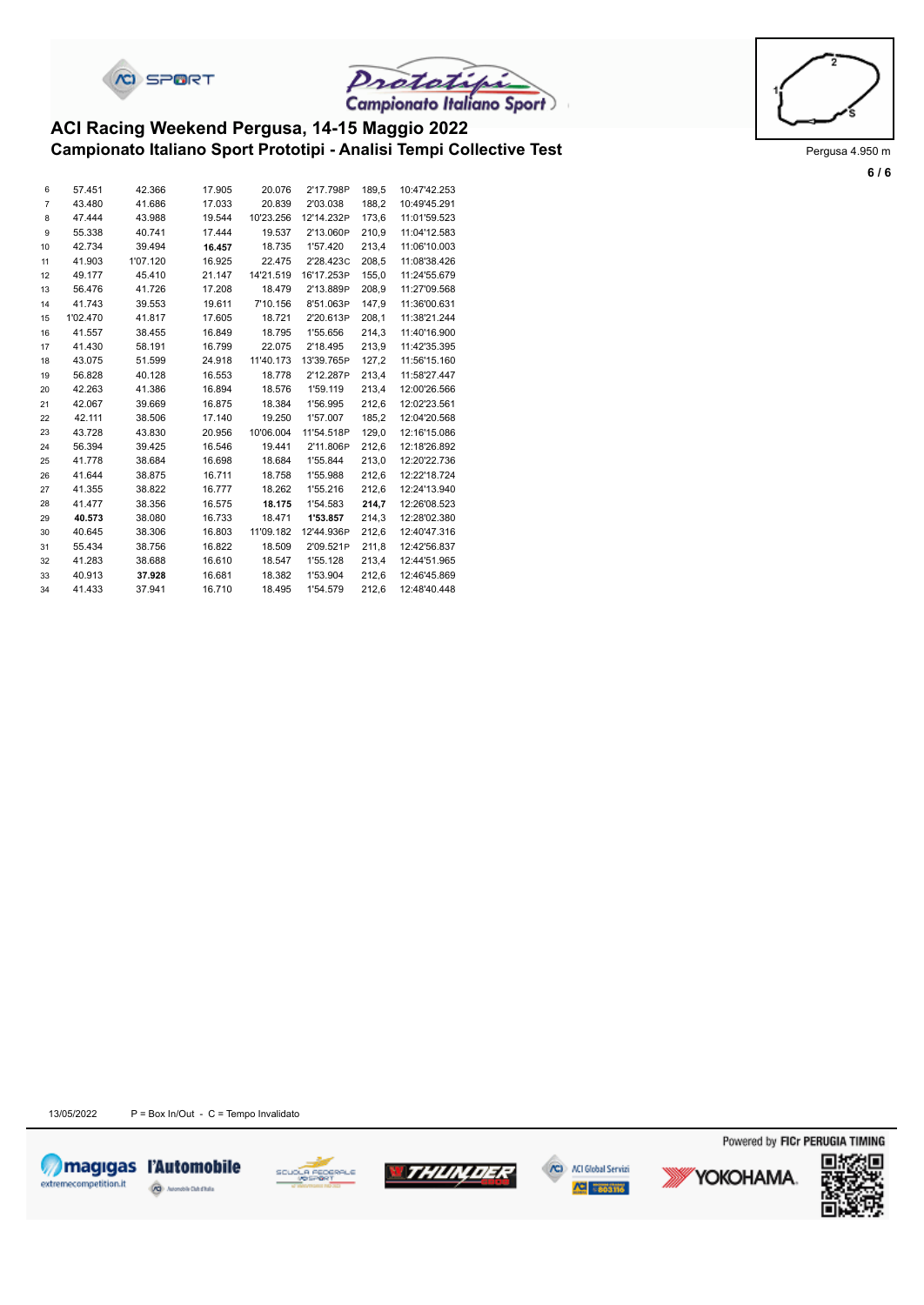



#### **Campionato Italiano Sport Prototipi - Analisi Tempi Collective Test** Prototing Pergusa 4.950 m **ACI Racing Weekend Pergusa, 14-15 Maggio 2022**

| 6              | 57.451   | 42.366   | 17.905 | 20.076    | 2'17.798P  | 189,5 | 10:47'42.253 |
|----------------|----------|----------|--------|-----------|------------|-------|--------------|
| $\overline{7}$ | 43.480   | 41.686   | 17.033 | 20.839    | 2'03.038   | 188.2 | 10:49'45.291 |
| 8              | 47.444   | 43.988   | 19.544 | 10'23.256 | 12'14.232P | 173,6 | 11:01'59.523 |
| 9              | 55.338   | 40.741   | 17.444 | 19.537    | 2'13.060P  | 210,9 | 11:04'12.583 |
| 10             | 42.734   | 39.494   | 16.457 | 18.735    | 1'57.420   | 213,4 | 11:06'10.003 |
| 11             | 41.903   | 1'07.120 | 16.925 | 22.475    | 2'28.423C  | 208,5 | 11:08'38.426 |
| 12             | 49.177   | 45.410   | 21.147 | 14'21.519 | 16'17.253P | 155,0 | 11:24'55.679 |
| 13             | 56.476   | 41.726   | 17.208 | 18.479    | 2'13.889P  | 208,9 | 11:27'09.568 |
| 14             | 41.743   | 39.553   | 19.611 | 7'10.156  | 8'51.063P  | 147,9 | 11:36'00.631 |
| 15             | 1'02.470 | 41.817   | 17.605 | 18.721    | 2'20.613P  | 208,1 | 11:38'21.244 |
| 16             | 41.557   | 38.455   | 16.849 | 18.795    | 1'55.656   | 214,3 | 11:40'16.900 |
| 17             | 41.430   | 58.191   | 16.799 | 22.075    | 2'18.495   | 213,9 | 11:42'35.395 |
| 18             | 43.075   | 51.599   | 24.918 | 11'40.173 | 13'39.765P | 127,2 | 11:56'15.160 |
| 19             | 56.828   | 40.128   | 16.553 | 18.778    | 2'12.287P  | 213,4 | 11:58'27.447 |
| 20             | 42.263   | 41.386   | 16.894 | 18.576    | 1'59.119   | 213,4 | 12:00'26.566 |
| 21             | 42.067   | 39.669   | 16.875 | 18.384    | 1'56.995   | 212,6 | 12:02'23.561 |
| 22             | 42.111   | 38.506   | 17.140 | 19.250    | 1'57.007   | 185,2 | 12:04'20.568 |
| 23             | 43.728   | 43.830   | 20.956 | 10'06.004 | 11'54.518P | 129,0 | 12:16'15.086 |
| 24             | 56.394   | 39.425   | 16.546 | 19.441    | 2'11.806P  | 212,6 | 12:18'26.892 |
| 25             | 41.778   | 38.684   | 16.698 | 18.684    | 1'55.844   | 213,0 | 12:20'22.736 |
| 26             | 41.644   | 38.875   | 16.711 | 18.758    | 1'55.988   | 212,6 | 12:22'18.724 |
| 27             | 41.355   | 38.822   | 16.777 | 18.262    | 1'55.216   | 212,6 | 12:24'13.940 |
| 28             | 41.477   | 38.356   | 16.575 | 18.175    | 1'54.583   | 214,7 | 12:26'08.523 |
| 29             | 40.573   | 38.080   | 16.733 | 18.471    | 1'53.857   | 214,3 | 12:28'02.380 |
| 30             | 40.645   | 38.306   | 16.803 | 11'09.182 | 12'44.936P | 212,6 | 12:40'47.316 |
| 31             | 55.434   | 38.756   | 16.822 | 18.509    | 2'09.521P  | 211,8 | 12:42'56.837 |
| 32             | 41.283   | 38.688   | 16.610 | 18.547    | 1'55.128   | 213,4 | 12:44'51.965 |
| 33             | 40.913   | 37.928   | 16.681 | 18.382    | 1'53.904   | 212.6 | 12:46'45.869 |
| 34             | 41.433   | 37.941   | 16.710 | 18.495    | 1'54.579   | 212,6 | 12:48'40.448 |



**6 / 6**

13/05/2022  $P = Box In/Out - C = Tempo Invalidato$